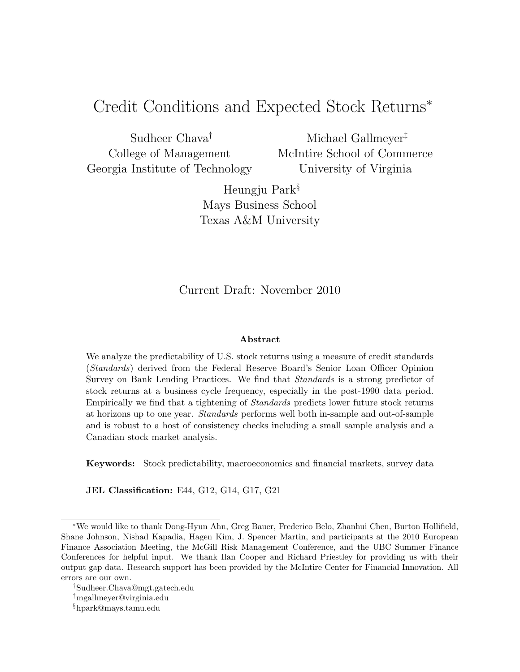# Credit Conditions and Expected Stock Returns<sup>∗</sup>

Sudheer Chava† College of Management Georgia Institute of Technology

Michael Gallmeyer‡ McIntire School of Commerce University of Virginia

Heungju Park§ Mays Business School Texas A&M University

Current Draft: November 2010

#### Abstract

We analyze the predictability of U.S. stock returns using a measure of credit standards (Standards) derived from the Federal Reserve Board's Senior Loan Officer Opinion Survey on Bank Lending Practices. We find that Standards is a strong predictor of stock returns at a business cycle frequency, especially in the post-1990 data period. Empirically we find that a tightening of Standards predicts lower future stock returns at horizons up to one year. Standards performs well both in-sample and out-of-sample and is robust to a host of consistency checks including a small sample analysis and a Canadian stock market analysis.

Keywords: Stock predictability, macroeconomics and financial markets, survey data

JEL Classification: E44, G12, G14, G17, G21

<sup>∗</sup>We would like to thank Dong-Hyun Ahn, Greg Bauer, Frederico Belo, Zhanhui Chen, Burton Hollifield, Shane Johnson, Nishad Kapadia, Hagen Kim, J. Spencer Martin, and participants at the 2010 European Finance Association Meeting, the McGill Risk Management Conference, and the UBC Summer Finance Conferences for helpful input. We thank Ilan Cooper and Richard Priestley for providing us with their output gap data. Research support has been provided by the McIntire Center for Financial Innovation. All errors are our own.

<sup>†</sup>Sudheer.Chava@mgt.gatech.edu

<sup>‡</sup>mgallmeyer@virginia.edu

<sup>§</sup>hpark@mays.tamu.edu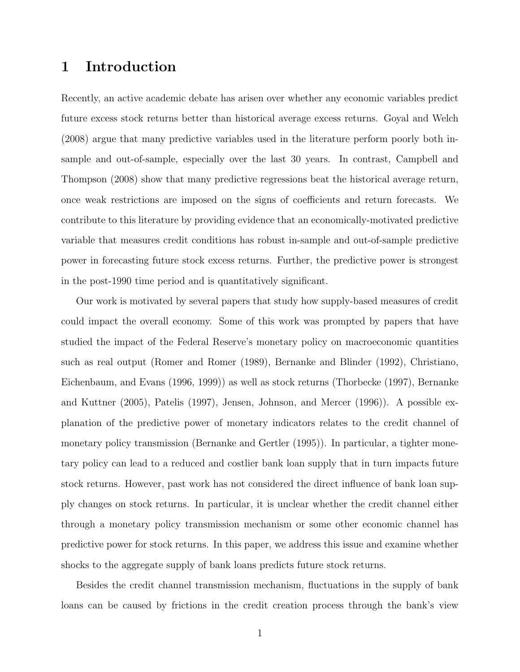## 1 Introduction

Recently, an active academic debate has arisen over whether any economic variables predict future excess stock returns better than historical average excess returns. Goyal and Welch (2008) argue that many predictive variables used in the literature perform poorly both insample and out-of-sample, especially over the last 30 years. In contrast, Campbell and Thompson (2008) show that many predictive regressions beat the historical average return, once weak restrictions are imposed on the signs of coefficients and return forecasts. We contribute to this literature by providing evidence that an economically-motivated predictive variable that measures credit conditions has robust in-sample and out-of-sample predictive power in forecasting future stock excess returns. Further, the predictive power is strongest in the post-1990 time period and is quantitatively significant.

Our work is motivated by several papers that study how supply-based measures of credit could impact the overall economy. Some of this work was prompted by papers that have studied the impact of the Federal Reserve's monetary policy on macroeconomic quantities such as real output (Romer and Romer (1989), Bernanke and Blinder (1992), Christiano, Eichenbaum, and Evans (1996, 1999)) as well as stock returns (Thorbecke (1997), Bernanke and Kuttner (2005), Patelis (1997), Jensen, Johnson, and Mercer (1996)). A possible explanation of the predictive power of monetary indicators relates to the credit channel of monetary policy transmission (Bernanke and Gertler (1995)). In particular, a tighter monetary policy can lead to a reduced and costlier bank loan supply that in turn impacts future stock returns. However, past work has not considered the direct influence of bank loan supply changes on stock returns. In particular, it is unclear whether the credit channel either through a monetary policy transmission mechanism or some other economic channel has predictive power for stock returns. In this paper, we address this issue and examine whether shocks to the aggregate supply of bank loans predicts future stock returns.

Besides the credit channel transmission mechanism, fluctuations in the supply of bank loans can be caused by frictions in the credit creation process through the bank's view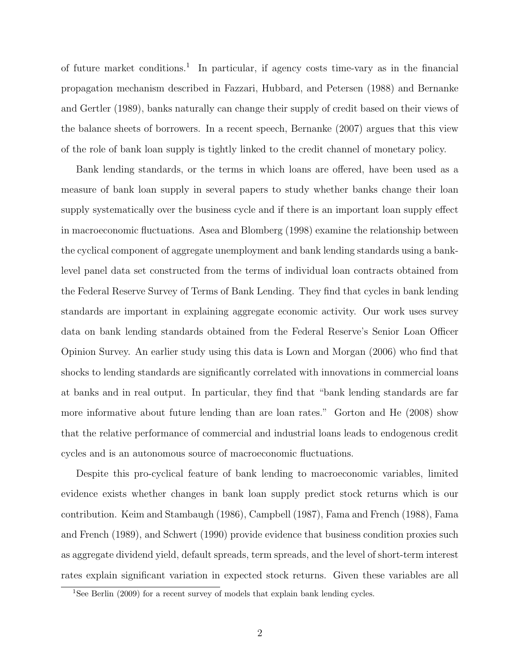of future market conditions.<sup>1</sup> In particular, if agency costs time-vary as in the financial propagation mechanism described in Fazzari, Hubbard, and Petersen (1988) and Bernanke and Gertler (1989), banks naturally can change their supply of credit based on their views of the balance sheets of borrowers. In a recent speech, Bernanke (2007) argues that this view of the role of bank loan supply is tightly linked to the credit channel of monetary policy.

Bank lending standards, or the terms in which loans are offered, have been used as a measure of bank loan supply in several papers to study whether banks change their loan supply systematically over the business cycle and if there is an important loan supply effect in macroeconomic fluctuations. Asea and Blomberg (1998) examine the relationship between the cyclical component of aggregate unemployment and bank lending standards using a banklevel panel data set constructed from the terms of individual loan contracts obtained from the Federal Reserve Survey of Terms of Bank Lending. They find that cycles in bank lending standards are important in explaining aggregate economic activity. Our work uses survey data on bank lending standards obtained from the Federal Reserve's Senior Loan Officer Opinion Survey. An earlier study using this data is Lown and Morgan (2006) who find that shocks to lending standards are significantly correlated with innovations in commercial loans at banks and in real output. In particular, they find that "bank lending standards are far more informative about future lending than are loan rates." Gorton and He (2008) show that the relative performance of commercial and industrial loans leads to endogenous credit cycles and is an autonomous source of macroeconomic fluctuations.

Despite this pro-cyclical feature of bank lending to macroeconomic variables, limited evidence exists whether changes in bank loan supply predict stock returns which is our contribution. Keim and Stambaugh (1986), Campbell (1987), Fama and French (1988), Fama and French (1989), and Schwert (1990) provide evidence that business condition proxies such as aggregate dividend yield, default spreads, term spreads, and the level of short-term interest rates explain significant variation in expected stock returns. Given these variables are all

<sup>&</sup>lt;sup>1</sup>See Berlin (2009) for a recent survey of models that explain bank lending cycles.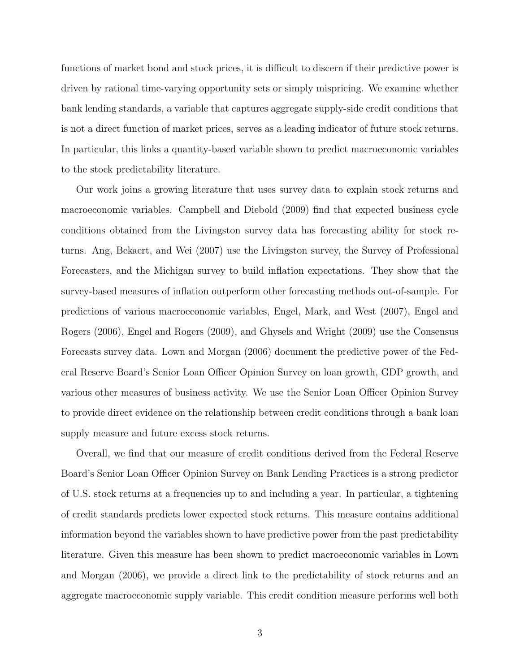functions of market bond and stock prices, it is difficult to discern if their predictive power is driven by rational time-varying opportunity sets or simply mispricing. We examine whether bank lending standards, a variable that captures aggregate supply-side credit conditions that is not a direct function of market prices, serves as a leading indicator of future stock returns. In particular, this links a quantity-based variable shown to predict macroeconomic variables to the stock predictability literature.

Our work joins a growing literature that uses survey data to explain stock returns and macroeconomic variables. Campbell and Diebold (2009) find that expected business cycle conditions obtained from the Livingston survey data has forecasting ability for stock returns. Ang, Bekaert, and Wei (2007) use the Livingston survey, the Survey of Professional Forecasters, and the Michigan survey to build inflation expectations. They show that the survey-based measures of inflation outperform other forecasting methods out-of-sample. For predictions of various macroeconomic variables, Engel, Mark, and West (2007), Engel and Rogers (2006), Engel and Rogers (2009), and Ghysels and Wright (2009) use the Consensus Forecasts survey data. Lown and Morgan (2006) document the predictive power of the Federal Reserve Board's Senior Loan Officer Opinion Survey on loan growth, GDP growth, and various other measures of business activity. We use the Senior Loan Officer Opinion Survey to provide direct evidence on the relationship between credit conditions through a bank loan supply measure and future excess stock returns.

Overall, we find that our measure of credit conditions derived from the Federal Reserve Board's Senior Loan Officer Opinion Survey on Bank Lending Practices is a strong predictor of U.S. stock returns at a frequencies up to and including a year. In particular, a tightening of credit standards predicts lower expected stock returns. This measure contains additional information beyond the variables shown to have predictive power from the past predictability literature. Given this measure has been shown to predict macroeconomic variables in Lown and Morgan (2006), we provide a direct link to the predictability of stock returns and an aggregate macroeconomic supply variable. This credit condition measure performs well both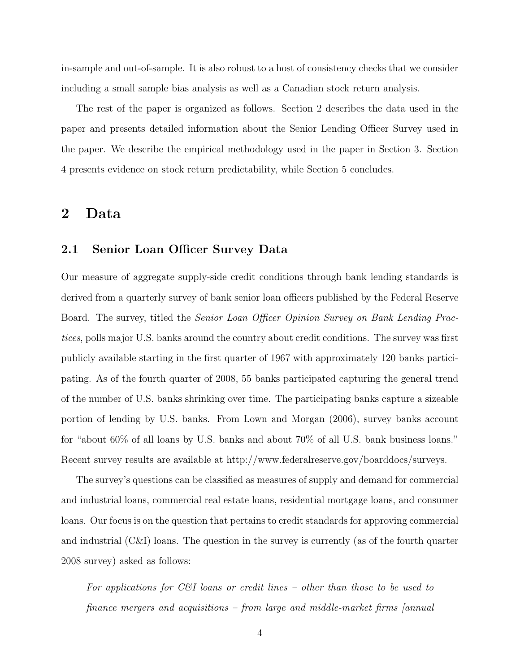in-sample and out-of-sample. It is also robust to a host of consistency checks that we consider including a small sample bias analysis as well as a Canadian stock return analysis.

The rest of the paper is organized as follows. Section 2 describes the data used in the paper and presents detailed information about the Senior Lending Officer Survey used in the paper. We describe the empirical methodology used in the paper in Section 3. Section 4 presents evidence on stock return predictability, while Section 5 concludes.

### 2 Data

### 2.1 Senior Loan Officer Survey Data

Our measure of aggregate supply-side credit conditions through bank lending standards is derived from a quarterly survey of bank senior loan officers published by the Federal Reserve Board. The survey, titled the Senior Loan Officer Opinion Survey on Bank Lending Practices, polls major U.S. banks around the country about credit conditions. The survey was first publicly available starting in the first quarter of 1967 with approximately 120 banks participating. As of the fourth quarter of 2008, 55 banks participated capturing the general trend of the number of U.S. banks shrinking over time. The participating banks capture a sizeable portion of lending by U.S. banks. From Lown and Morgan (2006), survey banks account for "about 60% of all loans by U.S. banks and about 70% of all U.S. bank business loans." Recent survey results are available at http://www.federalreserve.gov/boarddocs/surveys.

The survey's questions can be classified as measures of supply and demand for commercial and industrial loans, commercial real estate loans, residential mortgage loans, and consumer loans. Our focus is on the question that pertains to credit standards for approving commercial and industrial (C&I) loans. The question in the survey is currently (as of the fourth quarter 2008 survey) asked as follows:

For applications for C&I loans or credit lines – other than those to be used to finance mergers and acquisitions – from large and middle-market firms [annual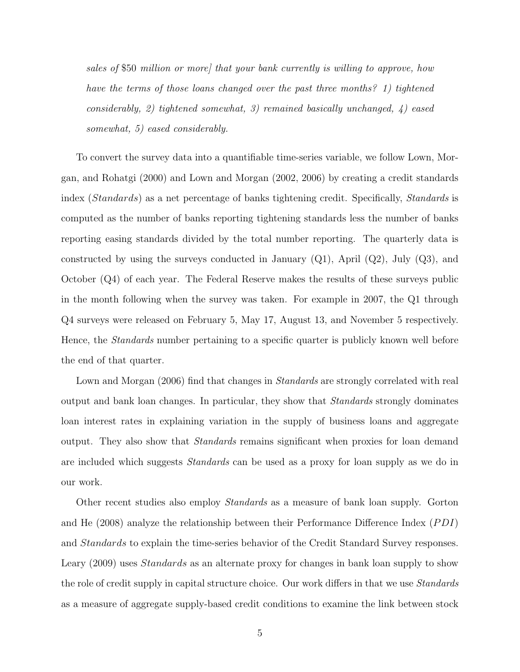sales of \$50 million or more that your bank currently is willing to approve, how have the terms of those loans changed over the past three months? 1) tightened considerably, 2) tightened somewhat, 3) remained basically unchanged, 4) eased somewhat, 5) eased considerably.

To convert the survey data into a quantifiable time-series variable, we follow Lown, Morgan, and Rohatgi (2000) and Lown and Morgan (2002, 2006) by creating a credit standards index (Standards) as a net percentage of banks tightening credit. Specifically, Standards is computed as the number of banks reporting tightening standards less the number of banks reporting easing standards divided by the total number reporting. The quarterly data is constructed by using the surveys conducted in January  $(Q1)$ , April  $(Q2)$ , July  $(Q3)$ , and October (Q4) of each year. The Federal Reserve makes the results of these surveys public in the month following when the survey was taken. For example in 2007, the Q1 through Q4 surveys were released on February 5, May 17, August 13, and November 5 respectively. Hence, the *Standards* number pertaining to a specific quarter is publicly known well before the end of that quarter.

Lown and Morgan (2006) find that changes in *Standards* are strongly correlated with real output and bank loan changes. In particular, they show that Standards strongly dominates loan interest rates in explaining variation in the supply of business loans and aggregate output. They also show that *Standards* remains significant when proxies for loan demand are included which suggests Standards can be used as a proxy for loan supply as we do in our work.

Other recent studies also employ Standards as a measure of bank loan supply. Gorton and He  $(2008)$  analyze the relationship between their Performance Difference Index  $(PDI)$ and Standards to explain the time-series behavior of the Credit Standard Survey responses. Leary (2009) uses Standards as an alternate proxy for changes in bank loan supply to show the role of credit supply in capital structure choice. Our work differs in that we use Standards as a measure of aggregate supply-based credit conditions to examine the link between stock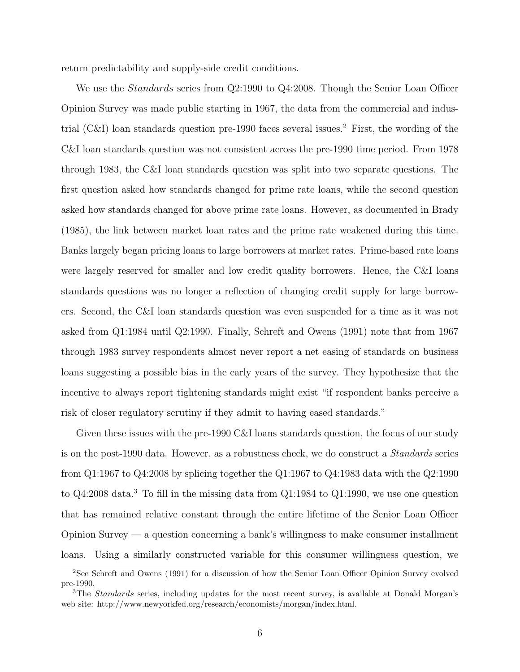return predictability and supply-side credit conditions.

We use the *Standards* series from Q2:1990 to Q4:2008. Though the Senior Loan Officer Opinion Survey was made public starting in 1967, the data from the commercial and industrial  $(C&I)$  loan standards question pre-1990 faces several issues.<sup>2</sup> First, the wording of the C&I loan standards question was not consistent across the pre-1990 time period. From 1978 through 1983, the C&I loan standards question was split into two separate questions. The first question asked how standards changed for prime rate loans, while the second question asked how standards changed for above prime rate loans. However, as documented in Brady (1985), the link between market loan rates and the prime rate weakened during this time. Banks largely began pricing loans to large borrowers at market rates. Prime-based rate loans were largely reserved for smaller and low credit quality borrowers. Hence, the C&I loans standards questions was no longer a reflection of changing credit supply for large borrowers. Second, the C&I loan standards question was even suspended for a time as it was not asked from Q1:1984 until Q2:1990. Finally, Schreft and Owens (1991) note that from 1967 through 1983 survey respondents almost never report a net easing of standards on business loans suggesting a possible bias in the early years of the survey. They hypothesize that the incentive to always report tightening standards might exist "if respondent banks perceive a risk of closer regulatory scrutiny if they admit to having eased standards."

Given these issues with the pre-1990 C&I loans standards question, the focus of our study is on the post-1990 data. However, as a robustness check, we do construct a Standards series from Q1:1967 to Q4:2008 by splicing together the Q1:1967 to Q4:1983 data with the Q2:1990 to Q4:2008 data.<sup>3</sup> To fill in the missing data from Q1:1984 to Q1:1990, we use one question that has remained relative constant through the entire lifetime of the Senior Loan Officer Opinion Survey — a question concerning a bank's willingness to make consumer installment loans. Using a similarly constructed variable for this consumer willingness question, we

<sup>2</sup>See Schreft and Owens (1991) for a discussion of how the Senior Loan Officer Opinion Survey evolved pre-1990.

<sup>&</sup>lt;sup>3</sup>The *Standards* series, including updates for the most recent survey, is available at Donald Morgan's web site: http://www.newyorkfed.org/research/economists/morgan/index.html.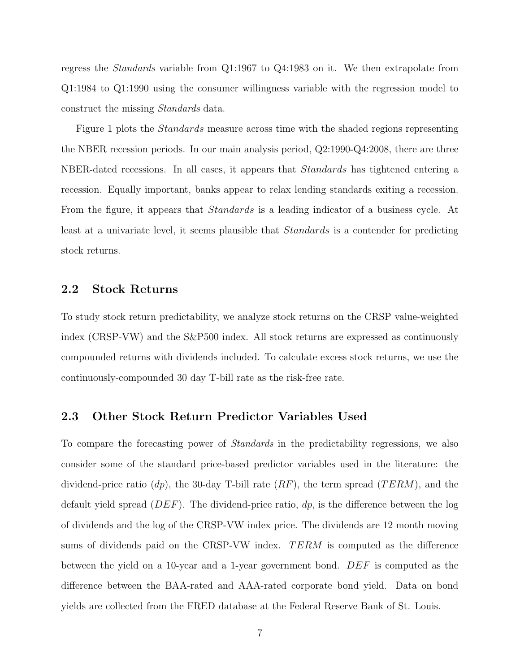regress the Standards variable from Q1:1967 to Q4:1983 on it. We then extrapolate from Q1:1984 to Q1:1990 using the consumer willingness variable with the regression model to construct the missing Standards data.

Figure 1 plots the *Standards* measure across time with the shaded regions representing the NBER recession periods. In our main analysis period, Q2:1990-Q4:2008, there are three NBER-dated recessions. In all cases, it appears that *Standards* has tightened entering a recession. Equally important, banks appear to relax lending standards exiting a recession. From the figure, it appears that *Standards* is a leading indicator of a business cycle. At least at a univariate level, it seems plausible that Standards is a contender for predicting stock returns.

#### 2.2 Stock Returns

To study stock return predictability, we analyze stock returns on the CRSP value-weighted index (CRSP-VW) and the S&P500 index. All stock returns are expressed as continuously compounded returns with dividends included. To calculate excess stock returns, we use the continuously-compounded 30 day T-bill rate as the risk-free rate.

#### 2.3 Other Stock Return Predictor Variables Used

To compare the forecasting power of Standards in the predictability regressions, we also consider some of the standard price-based predictor variables used in the literature: the dividend-price ratio (dp), the 30-day T-bill rate  $(RF)$ , the term spread  $(TERM)$ , and the default yield spread  $(DEF)$ . The dividend-price ratio,  $dp$ , is the difference between the log of dividends and the log of the CRSP-VW index price. The dividends are 12 month moving sums of dividends paid on the CRSP-VW index. TERM is computed as the difference between the yield on a 10-year and a 1-year government bond. DEF is computed as the difference between the BAA-rated and AAA-rated corporate bond yield. Data on bond yields are collected from the FRED database at the Federal Reserve Bank of St. Louis.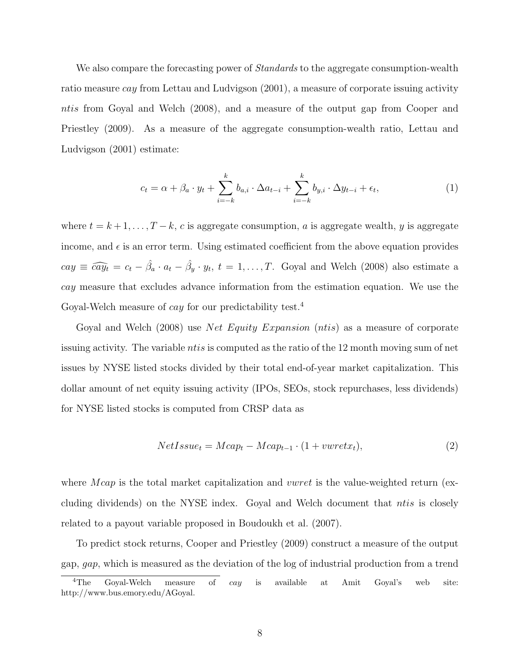We also compare the forecasting power of *Standards* to the aggregate consumption-wealth ratio measure cay from Lettau and Ludvigson (2001), a measure of corporate issuing activity ntis from Goyal and Welch (2008), and a measure of the output gap from Cooper and Priestley (2009). As a measure of the aggregate consumption-wealth ratio, Lettau and Ludvigson (2001) estimate:

$$
c_t = \alpha + \beta_a \cdot y_t + \sum_{i=-k}^k b_{a,i} \cdot \Delta a_{t-i} + \sum_{i=-k}^k b_{y,i} \cdot \Delta y_{t-i} + \epsilon_t,
$$
\n(1)

where  $t = k + 1, \ldots, T - k$ , c is aggregate consumption, a is aggregate wealth, y is aggregate income, and  $\epsilon$  is an error term. Using estimated coefficient from the above equation provides  $cay \equiv \widehat{cay_t} = c_t - \hat{\beta}_a \cdot a_t - \hat{\beta}_y \cdot y_t$ ,  $t = 1, ..., T$ . Goyal and Welch (2008) also estimate a cay measure that excludes advance information from the estimation equation. We use the Goyal-Welch measure of *cay* for our predictability test.<sup>4</sup>

Goyal and Welch (2008) use *Net Equity Expansion* (*ntis*) as a measure of corporate issuing activity. The variable *ntis* is computed as the ratio of the 12 month moving sum of net issues by NYSE listed stocks divided by their total end-of-year market capitalization. This dollar amount of net equity issuing activity (IPOs, SEOs, stock repurchases, less dividends) for NYSE listed stocks is computed from CRSP data as

$$
NetIssue_t = Mcap_t - Mcap_{t-1} \cdot (1 + vwret x_t), \tag{2}
$$

where  $\rho_{cap}$  is the total market capitalization and *vwret* is the value-weighted return (excluding dividends) on the NYSE index. Goyal and Welch document that ntis is closely related to a payout variable proposed in Boudoukh et al. (2007).

To predict stock returns, Cooper and Priestley (2009) construct a measure of the output gap, gap, which is measured as the deviation of the log of industrial production from a trend

<sup>&</sup>lt;sup>4</sup>The Goyal-Welch measure of *cay* is available at Amit Goyal's web site: http://www.bus.emory.edu/AGoyal.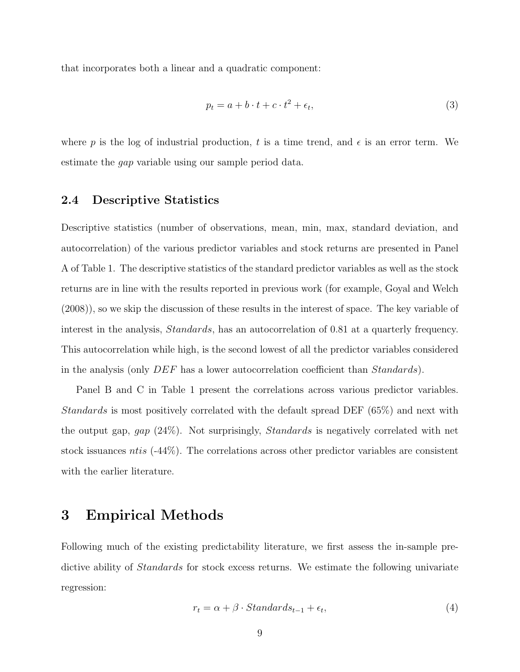that incorporates both a linear and a quadratic component:

$$
p_t = a + b \cdot t + c \cdot t^2 + \epsilon_t,\tag{3}
$$

where p is the log of industrial production, t is a time trend, and  $\epsilon$  is an error term. We estimate the gap variable using our sample period data.

#### 2.4 Descriptive Statistics

Descriptive statistics (number of observations, mean, min, max, standard deviation, and autocorrelation) of the various predictor variables and stock returns are presented in Panel A of Table 1. The descriptive statistics of the standard predictor variables as well as the stock returns are in line with the results reported in previous work (for example, Goyal and Welch (2008)), so we skip the discussion of these results in the interest of space. The key variable of interest in the analysis, *Standards*, has an autocorrelation of 0.81 at a quarterly frequency. This autocorrelation while high, is the second lowest of all the predictor variables considered in the analysis (only DEF has a lower autocorrelation coefficient than Standards).

Panel B and C in Table 1 present the correlations across various predictor variables. Standards is most positively correlated with the default spread DEF (65%) and next with the output gap, gap (24%). Not surprisingly, Standards is negatively correlated with net stock issuances ntis (-44%). The correlations across other predictor variables are consistent with the earlier literature.

## 3 Empirical Methods

Following much of the existing predictability literature, we first assess the in-sample predictive ability of Standards for stock excess returns. We estimate the following univariate regression:

$$
r_t = \alpha + \beta \cdot Standards_{t-1} + \epsilon_t,\tag{4}
$$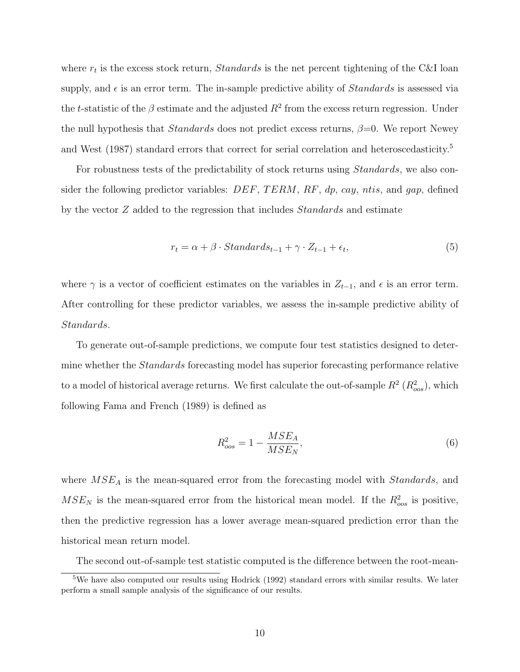where  $r_t$  is the excess stock return, *Standards* is the net percent tightening of the C&I loan supply, and  $\epsilon$  is an error term. The in-sample predictive ability of *Standards* is assessed via the t-statistic of the  $\beta$  estimate and the adjusted  $R^2$  from the excess return regression. Under the null hypothesis that *Standards* does not predict excess returns,  $\beta = 0$ . We report Newey and West (1987) standard errors that correct for serial correlation and heteroscedasticity.<sup>5</sup>

For robustness tests of the predictability of stock returns using *Standards*, we also consider the following predictor variables:  $DEF$ ,  $TERM$ ,  $RF$ ,  $dp$ ,  $cay$ ,  $ntis$ , and  $gap$ , defined by the vector  $Z$  added to the regression that includes  $Standards$  and estimate

$$
r_t = \alpha + \beta \cdot Standards_{t-1} + \gamma \cdot Z_{t-1} + \epsilon_t,
$$
\n
$$
\tag{5}
$$

where  $\gamma$  is a vector of coefficient estimates on the variables in  $Z_{t-1}$ , and  $\epsilon$  is an error term. After controlling for these predictor variables, we assess the in-sample predictive ability of Standards.

To generate out-of-sample predictions, we compute four test statistics designed to determine whether the *Standards* forecasting model has superior forecasting performance relative to a model of historical average returns. We first calculate the out-of-sample  $R^2$  ( $R^2_{oos}$ ), which following Fama and French (1989) is defined as

$$
R_{oos}^2 = 1 - \frac{MSE_A}{MSE_N},\tag{6}
$$

where  $MSE<sub>A</sub>$  is the mean-squared error from the forecasting model with *Standards*, and  $MSE_N$  is the mean-squared error from the historical mean model. If the  $R_{\text{cos}}^2$  is positive, then the predictive regression has a lower average mean-squared prediction error than the historical mean return model.

The second out-of-sample test statistic computed is the difference between the root-mean-

<sup>&</sup>lt;sup>5</sup>We have also computed our results using Hodrick (1992) standard errors with similar results. We later perform a small sample analysis of the significance of our results.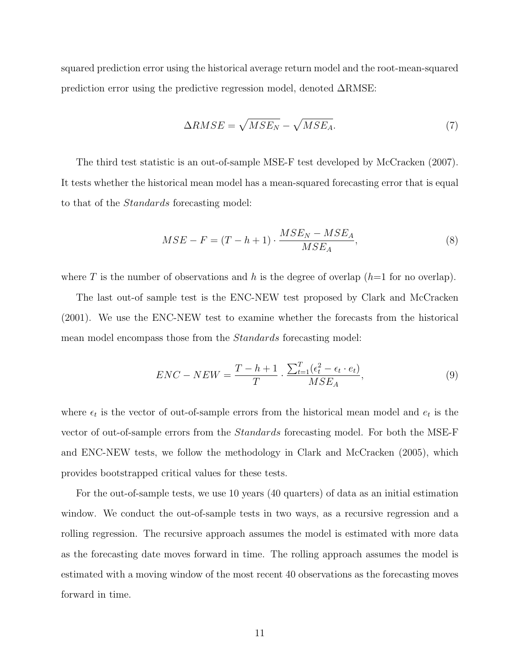squared prediction error using the historical average return model and the root-mean-squared prediction error using the predictive regression model, denoted ∆RMSE:

$$
\Delta RMSE = \sqrt{MSE_N} - \sqrt{MSE_A}.\tag{7}
$$

The third test statistic is an out-of-sample MSE-F test developed by McCracken (2007). It tests whether the historical mean model has a mean-squared forecasting error that is equal to that of the Standards forecasting model:

$$
MSE - F = (T - h + 1) \cdot \frac{MSE_N - MSE_A}{MSE_A},\tag{8}
$$

where T is the number of observations and h is the degree of overlap  $(h=1$  for no overlap).

The last out-of sample test is the ENC-NEW test proposed by Clark and McCracken (2001). We use the ENC-NEW test to examine whether the forecasts from the historical mean model encompass those from the Standards forecasting model:

$$
ENC - NEW = \frac{T - h + 1}{T} \cdot \frac{\sum_{t=1}^{T} (\epsilon_t^2 - \epsilon_t \cdot e_t)}{MSE_A},
$$
\n
$$
(9)
$$

where  $\epsilon_t$  is the vector of out-of-sample errors from the historical mean model and  $e_t$  is the vector of out-of-sample errors from the Standards forecasting model. For both the MSE-F and ENC-NEW tests, we follow the methodology in Clark and McCracken (2005), which provides bootstrapped critical values for these tests.

For the out-of-sample tests, we use 10 years (40 quarters) of data as an initial estimation window. We conduct the out-of-sample tests in two ways, as a recursive regression and a rolling regression. The recursive approach assumes the model is estimated with more data as the forecasting date moves forward in time. The rolling approach assumes the model is estimated with a moving window of the most recent 40 observations as the forecasting moves forward in time.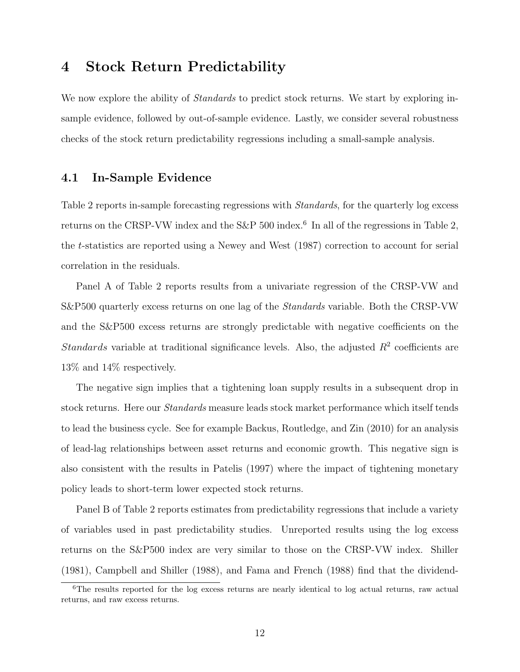## 4 Stock Return Predictability

We now explore the ability of *Standards* to predict stock returns. We start by exploring insample evidence, followed by out-of-sample evidence. Lastly, we consider several robustness checks of the stock return predictability regressions including a small-sample analysis.

### 4.1 In-Sample Evidence

Table 2 reports in-sample forecasting regressions with *Standards*, for the quarterly log excess returns on the CRSP-VW index and the S&P 500 index.<sup>6</sup> In all of the regressions in Table 2, the t-statistics are reported using a Newey and West (1987) correction to account for serial correlation in the residuals.

Panel A of Table 2 reports results from a univariate regression of the CRSP-VW and S&P500 quarterly excess returns on one lag of the Standards variable. Both the CRSP-VW and the S&P500 excess returns are strongly predictable with negative coefficients on the Standards variable at traditional significance levels. Also, the adjusted  $R^2$  coefficients are 13% and 14% respectively.

The negative sign implies that a tightening loan supply results in a subsequent drop in stock returns. Here our Standards measure leads stock market performance which itself tends to lead the business cycle. See for example Backus, Routledge, and Zin (2010) for an analysis of lead-lag relationships between asset returns and economic growth. This negative sign is also consistent with the results in Patelis (1997) where the impact of tightening monetary policy leads to short-term lower expected stock returns.

Panel B of Table 2 reports estimates from predictability regressions that include a variety of variables used in past predictability studies. Unreported results using the log excess returns on the S&P500 index are very similar to those on the CRSP-VW index. Shiller (1981), Campbell and Shiller (1988), and Fama and French (1988) find that the dividend-

<sup>6</sup>The results reported for the log excess returns are nearly identical to log actual returns, raw actual returns, and raw excess returns.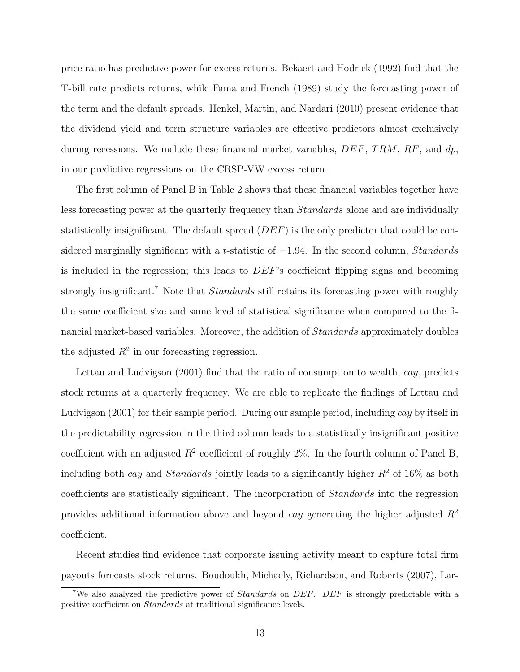price ratio has predictive power for excess returns. Bekaert and Hodrick (1992) find that the T-bill rate predicts returns, while Fama and French (1989) study the forecasting power of the term and the default spreads. Henkel, Martin, and Nardari (2010) present evidence that the dividend yield and term structure variables are effective predictors almost exclusively during recessions. We include these financial market variables,  $DEF$ , TRM, RF, and  $dp$ , in our predictive regressions on the CRSP-VW excess return.

The first column of Panel B in Table 2 shows that these financial variables together have less forecasting power at the quarterly frequency than Standards alone and are individually statistically insignificant. The default spread  $(DEF)$  is the only predictor that could be considered marginally significant with a t-statistic of  $-1.94$ . In the second column, *Standards* is included in the regression; this leads to DEF's coefficient flipping signs and becoming strongly insignificant.<sup>7</sup> Note that *Standards* still retains its forecasting power with roughly the same coefficient size and same level of statistical significance when compared to the financial market-based variables. Moreover, the addition of Standards approximately doubles the adjusted  $R^2$  in our forecasting regression.

Lettau and Ludvigson (2001) find that the ratio of consumption to wealth, cay, predicts stock returns at a quarterly frequency. We are able to replicate the findings of Lettau and Ludvigson (2001) for their sample period. During our sample period, including cay by itself in the predictability regression in the third column leads to a statistically insignificant positive coefficient with an adjusted  $R^2$  coefficient of roughly  $2\%$ . In the fourth column of Panel B, including both cay and *Standards* jointly leads to a significantly higher  $R^2$  of 16% as both coefficients are statistically significant. The incorporation of Standards into the regression provides additional information above and beyond *cay* generating the higher adjusted  $R^2$ coefficient.

Recent studies find evidence that corporate issuing activity meant to capture total firm payouts forecasts stock returns. Boudoukh, Michaely, Richardson, and Roberts (2007), Lar-

<sup>&</sup>lt;sup>7</sup>We also analyzed the predictive power of *Standards* on *DEF*. *DEF* is strongly predictable with a positive coefficient on Standards at traditional significance levels.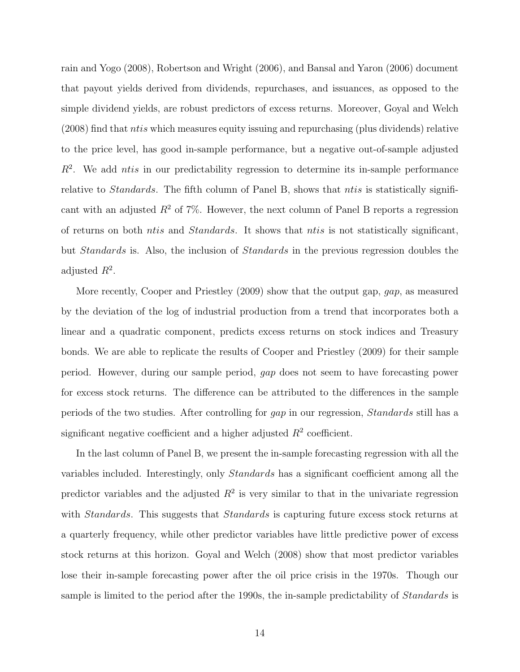rain and Yogo (2008), Robertson and Wright (2006), and Bansal and Yaron (2006) document that payout yields derived from dividends, repurchases, and issuances, as opposed to the simple dividend yields, are robust predictors of excess returns. Moreover, Goyal and Welch  $(2008)$  find that *ntis* which measures equity issuing and repurchasing (plus dividends) relative to the price level, has good in-sample performance, but a negative out-of-sample adjusted  $R<sup>2</sup>$ . We add ntis in our predictability regression to determine its in-sample performance relative to *Standards*. The fifth column of Panel B, shows that *ntis* is statistically significant with an adjusted  $R^2$  of 7%. However, the next column of Panel B reports a regression of returns on both ntis and Standards. It shows that ntis is not statistically significant, but Standards is. Also, the inclusion of Standards in the previous regression doubles the adjusted  $R^2$ .

More recently, Cooper and Priestley (2009) show that the output gap, gap, as measured by the deviation of the log of industrial production from a trend that incorporates both a linear and a quadratic component, predicts excess returns on stock indices and Treasury bonds. We are able to replicate the results of Cooper and Priestley (2009) for their sample period. However, during our sample period, gap does not seem to have forecasting power for excess stock returns. The difference can be attributed to the differences in the sample periods of the two studies. After controlling for gap in our regression, Standards still has a significant negative coefficient and a higher adjusted  $R<sup>2</sup>$  coefficient.

In the last column of Panel B, we present the in-sample forecasting regression with all the variables included. Interestingly, only Standards has a significant coefficient among all the predictor variables and the adjusted  $R^2$  is very similar to that in the univariate regression with *Standards*. This suggests that *Standards* is capturing future excess stock returns at a quarterly frequency, while other predictor variables have little predictive power of excess stock returns at this horizon. Goyal and Welch (2008) show that most predictor variables lose their in-sample forecasting power after the oil price crisis in the 1970s. Though our sample is limited to the period after the 1990s, the in-sample predictability of *Standards* is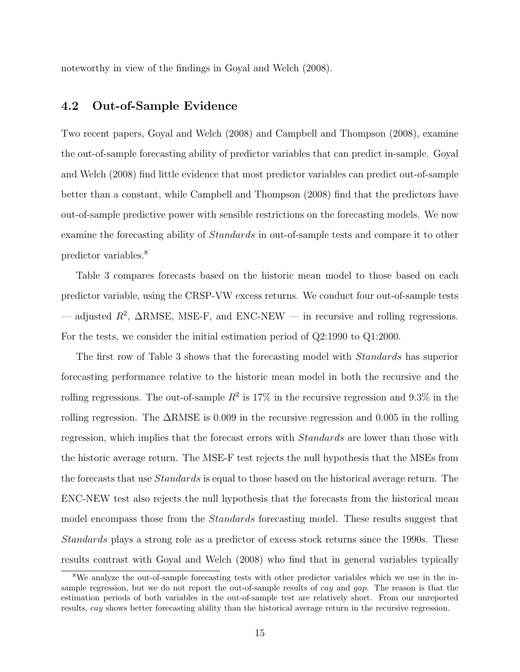noteworthy in view of the findings in Goyal and Welch (2008).

### 4.2 Out-of-Sample Evidence

Two recent papers, Goyal and Welch (2008) and Campbell and Thompson (2008), examine the out-of-sample forecasting ability of predictor variables that can predict in-sample. Goyal and Welch (2008) find little evidence that most predictor variables can predict out-of-sample better than a constant, while Campbell and Thompson (2008) find that the predictors have out-of-sample predictive power with sensible restrictions on the forecasting models. We now examine the forecasting ability of Standards in out-of-sample tests and compare it to other predictor variables.<sup>8</sup>

Table 3 compares forecasts based on the historic mean model to those based on each predictor variable, using the CRSP-VW excess returns. We conduct four out-of-sample tests — adjusted  $R^2$ ,  $\Delta$ RMSE, MSE-F, and ENC-NEW — in recursive and rolling regressions. For the tests, we consider the initial estimation period of Q2:1990 to Q1:2000.

The first row of Table 3 shows that the forecasting model with *Standards* has superior forecasting performance relative to the historic mean model in both the recursive and the rolling regressions. The out-of-sample  $R^2$  is 17% in the recursive regression and 9.3% in the rolling regression. The ∆RMSE is 0.009 in the recursive regression and 0.005 in the rolling regression, which implies that the forecast errors with Standards are lower than those with the historic average return. The MSE-F test rejects the null hypothesis that the MSEs from the forecasts that use *Standards* is equal to those based on the historical average return. The ENC-NEW test also rejects the null hypothesis that the forecasts from the historical mean model encompass those from the *Standards* forecasting model. These results suggest that Standards plays a strong role as a predictor of excess stock returns since the 1990s. These results contrast with Goyal and Welch (2008) who find that in general variables typically

<sup>8</sup>We analyze the out-of-sample forecasting tests with other predictor variables which we use in the insample regression, but we do not report the out-of-sample results of *cay* and *gap*. The reason is that the estimation periods of both variables in the out-of-sample test are relatively short. From our unreported results, cay shows better forecasting ability than the historical average return in the recursive regression.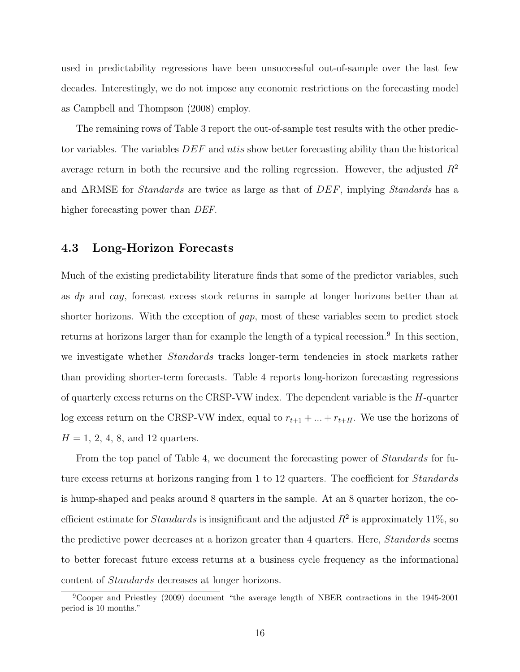used in predictability regressions have been unsuccessful out-of-sample over the last few decades. Interestingly, we do not impose any economic restrictions on the forecasting model as Campbell and Thompson (2008) employ.

The remaining rows of Table 3 report the out-of-sample test results with the other predictor variables. The variables  $DEF$  and ntis show better forecasting ability than the historical average return in both the recursive and the rolling regression. However, the adjusted  $R^2$ and  $\Delta$ RMSE for *Standards* are twice as large as that of  $DEF$ , implying *Standards* has a higher forecasting power than *DEF*.

#### 4.3 Long-Horizon Forecasts

Much of the existing predictability literature finds that some of the predictor variables, such as dp and cay, forecast excess stock returns in sample at longer horizons better than at shorter horizons. With the exception of gap, most of these variables seem to predict stock returns at horizons larger than for example the length of a typical recession.<sup>9</sup> In this section, we investigate whether *Standards* tracks longer-term tendencies in stock markets rather than providing shorter-term forecasts. Table 4 reports long-horizon forecasting regressions of quarterly excess returns on the CRSP-VW index. The dependent variable is the  $H$ -quarter log excess return on the CRSP-VW index, equal to  $r_{t+1} + \ldots + r_{t+H}$ . We use the horizons of  $H = 1, 2, 4, 8, \text{ and } 12 \text{ quarters}.$ 

From the top panel of Table 4, we document the forecasting power of *Standards* for future excess returns at horizons ranging from 1 to 12 quarters. The coefficient for *Standards* is hump-shaped and peaks around 8 quarters in the sample. At an 8 quarter horizon, the coefficient estimate for *Standards* is insignificant and the adjusted  $R^2$  is approximately 11%, so the predictive power decreases at a horizon greater than 4 quarters. Here, *Standards* seems to better forecast future excess returns at a business cycle frequency as the informational content of Standards decreases at longer horizons.

<sup>&</sup>lt;sup>9</sup>Cooper and Priestley (2009) document "the average length of NBER contractions in the 1945-2001 period is 10 months."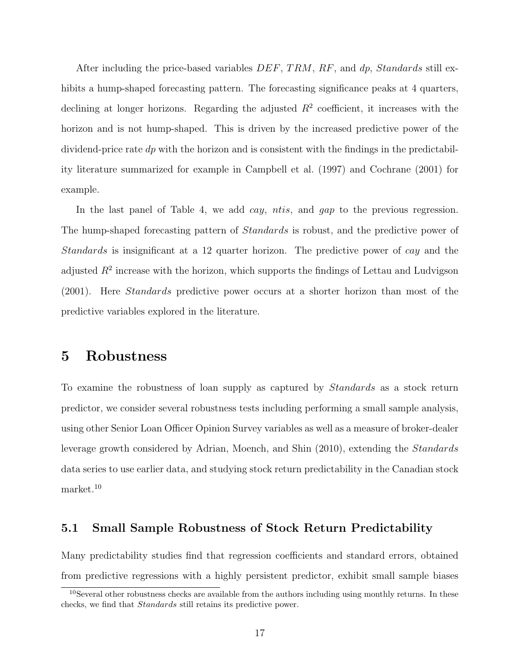After including the price-based variables  $DEF$ , TRM, RF, and dp, Standards still exhibits a hump-shaped forecasting pattern. The forecasting significance peaks at 4 quarters, declining at longer horizons. Regarding the adjusted  $R<sup>2</sup>$  coefficient, it increases with the horizon and is not hump-shaped. This is driven by the increased predictive power of the dividend-price rate  $dp$  with the horizon and is consistent with the findings in the predictability literature summarized for example in Campbell et al. (1997) and Cochrane (2001) for example.

In the last panel of Table 4, we add *cay*, *ntis*, and *gap* to the previous regression. The hump-shaped forecasting pattern of *Standards* is robust, and the predictive power of Standards is insignificant at a 12 quarter horizon. The predictive power of cay and the adjusted  $R^2$  increase with the horizon, which supports the findings of Lettau and Ludvigson (2001). Here Standards predictive power occurs at a shorter horizon than most of the predictive variables explored in the literature.

## 5 Robustness

To examine the robustness of loan supply as captured by Standards as a stock return predictor, we consider several robustness tests including performing a small sample analysis, using other Senior Loan Officer Opinion Survey variables as well as a measure of broker-dealer leverage growth considered by Adrian, Moench, and Shin (2010), extending the Standards data series to use earlier data, and studying stock return predictability in the Canadian stock market.<sup>10</sup>

### 5.1 Small Sample Robustness of Stock Return Predictability

Many predictability studies find that regression coefficients and standard errors, obtained from predictive regressions with a highly persistent predictor, exhibit small sample biases

 $10$ Several other robustness checks are available from the authors including using monthly returns. In these checks, we find that Standards still retains its predictive power.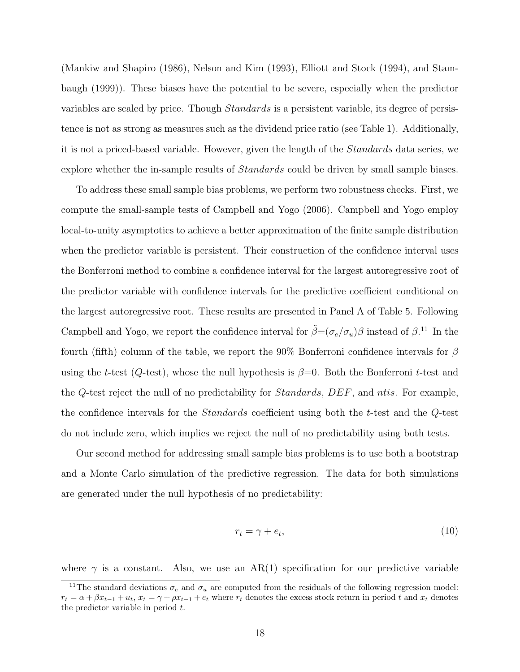(Mankiw and Shapiro (1986), Nelson and Kim (1993), Elliott and Stock (1994), and Stambaugh (1999)). These biases have the potential to be severe, especially when the predictor variables are scaled by price. Though Standards is a persistent variable, its degree of persistence is not as strong as measures such as the dividend price ratio (see Table 1). Additionally, it is not a priced-based variable. However, given the length of the Standards data series, we explore whether the in-sample results of *Standards* could be driven by small sample biases.

To address these small sample bias problems, we perform two robustness checks. First, we compute the small-sample tests of Campbell and Yogo (2006). Campbell and Yogo employ local-to-unity asymptotics to achieve a better approximation of the finite sample distribution when the predictor variable is persistent. Their construction of the confidence interval uses the Bonferroni method to combine a confidence interval for the largest autoregressive root of the predictor variable with confidence intervals for the predictive coefficient conditional on the largest autoregressive root. These results are presented in Panel A of Table 5. Following Campbell and Yogo, we report the confidence interval for  $\tilde{\beta} = (\sigma_e/\sigma_u)\beta$  instead of  $\beta$ .<sup>11</sup> In the fourth (fifth) column of the table, we report the 90% Bonferroni confidence intervals for  $\beta$ using the t-test ( $Q$ -test), whose the null hypothesis is  $\beta=0$ . Both the Bonferroni t-test and the Q-test reject the null of no predictability for Standards, DEF, and ntis. For example, the confidence intervals for the Standards coefficient using both the t-test and the Q-test do not include zero, which implies we reject the null of no predictability using both tests.

Our second method for addressing small sample bias problems is to use both a bootstrap and a Monte Carlo simulation of the predictive regression. The data for both simulations are generated under the null hypothesis of no predictability:

$$
r_t = \gamma + e_t,\tag{10}
$$

where  $\gamma$  is a constant. Also, we use an AR(1) specification for our predictive variable

<sup>&</sup>lt;sup>11</sup>The standard deviations  $\sigma_e$  and  $\sigma_u$  are computed from the residuals of the following regression model:  $r_t = \alpha + \beta x_{t-1} + u_t$ ,  $x_t = \gamma + \rho x_{t-1} + e_t$  where  $r_t$  denotes the excess stock return in period t and  $x_t$  denotes the predictor variable in period  $t$ .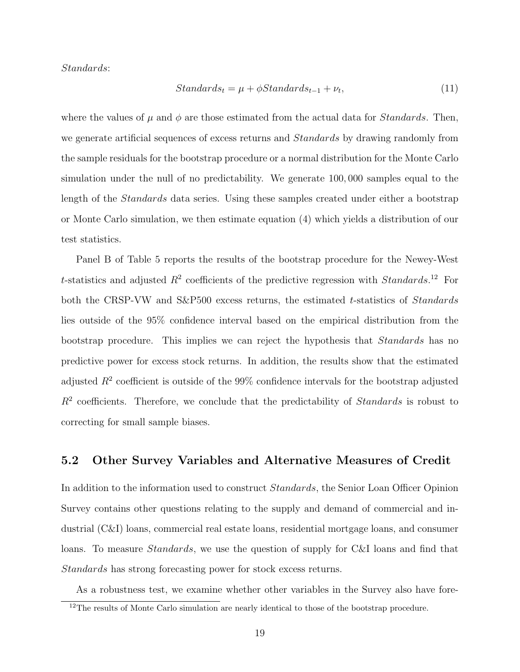#### Standards:

$$
Standards_t = \mu + \phi Standards_{t-1} + \nu_t,\tag{11}
$$

where the values of  $\mu$  and  $\phi$  are those estimated from the actual data for *Standards*. Then, we generate artificial sequences of excess returns and *Standards* by drawing randomly from the sample residuals for the bootstrap procedure or a normal distribution for the Monte Carlo simulation under the null of no predictability. We generate 100, 000 samples equal to the length of the Standards data series. Using these samples created under either a bootstrap or Monte Carlo simulation, we then estimate equation (4) which yields a distribution of our test statistics.

Panel B of Table 5 reports the results of the bootstrap procedure for the Newey-West t-statistics and adjusted  $R^2$  coefficients of the predictive regression with *Standards*.<sup>12</sup> For both the CRSP-VW and S&P500 excess returns, the estimated t-statistics of *Standards* lies outside of the 95% confidence interval based on the empirical distribution from the bootstrap procedure. This implies we can reject the hypothesis that Standards has no predictive power for excess stock returns. In addition, the results show that the estimated adjusted  $R^2$  coefficient is outside of the 99% confidence intervals for the bootstrap adjusted  $R<sup>2</sup>$  coefficients. Therefore, we conclude that the predictability of *Standards* is robust to correcting for small sample biases.

### 5.2 Other Survey Variables and Alternative Measures of Credit

In addition to the information used to construct Standards, the Senior Loan Officer Opinion Survey contains other questions relating to the supply and demand of commercial and industrial (C&I) loans, commercial real estate loans, residential mortgage loans, and consumer loans. To measure *Standards*, we use the question of supply for C&I loans and find that Standards has strong forecasting power for stock excess returns.

As a robustness test, we examine whether other variables in the Survey also have fore-

 $12$ The results of Monte Carlo simulation are nearly identical to those of the bootstrap procedure.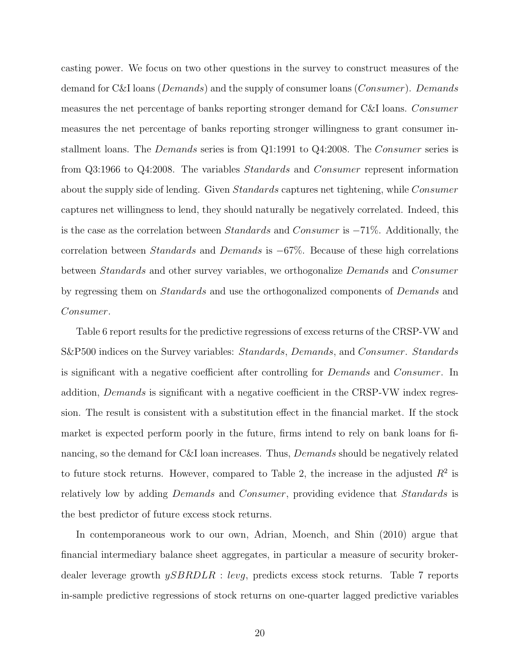casting power. We focus on two other questions in the survey to construct measures of the demand for C&I loans (*Demands*) and the supply of consumer loans (*Consumer*). Demands measures the net percentage of banks reporting stronger demand for C&I loans. Consumer measures the net percentage of banks reporting stronger willingness to grant consumer installment loans. The *Demands* series is from Q1:1991 to Q4:2008. The *Consumer* series is from Q3:1966 to Q4:2008. The variables Standards and Consumer represent information about the supply side of lending. Given Standards captures net tightening, while Consumer captures net willingness to lend, they should naturally be negatively correlated. Indeed, this is the case as the correlation between Standards and Consumer is −71%. Additionally, the correlation between Standards and Demands is −67%. Because of these high correlations between Standards and other survey variables, we orthogonalize Demands and Consumer by regressing them on Standards and use the orthogonalized components of Demands and Consumer.

Table 6 report results for the predictive regressions of excess returns of the CRSP-VW and S&P500 indices on the Survey variables: Standards, Demands, and Consumer. Standards is significant with a negative coefficient after controlling for Demands and Consumer. In addition, *Demands* is significant with a negative coefficient in the CRSP-VW index regression. The result is consistent with a substitution effect in the financial market. If the stock market is expected perform poorly in the future, firms intend to rely on bank loans for financing, so the demand for C&I loan increases. Thus, *Demands* should be negatively related to future stock returns. However, compared to Table 2, the increase in the adjusted  $R^2$  is relatively low by adding *Demands* and *Consumer*, providing evidence that *Standards* is the best predictor of future excess stock returns.

In contemporaneous work to our own, Adrian, Moench, and Shin (2010) argue that financial intermediary balance sheet aggregates, in particular a measure of security brokerdealer leverage growth  $ySBRDLR : levg$ , predicts excess stock returns. Table 7 reports in-sample predictive regressions of stock returns on one-quarter lagged predictive variables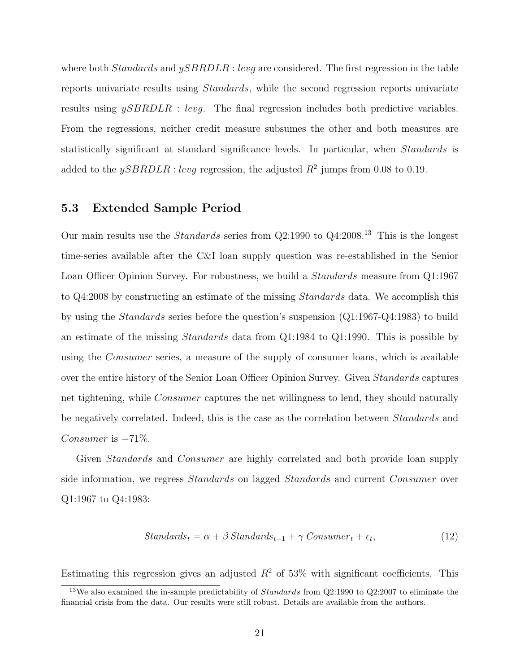where both *Standards* and  $ySBRDLR$ : levg are considered. The first regression in the table reports univariate results using Standards, while the second regression reports univariate results using  $ySBRDLR$  : levg. The final regression includes both predictive variables. From the regressions, neither credit measure subsumes the other and both measures are statistically significant at standard significance levels. In particular, when Standards is added to the  $ySBRDLR$ : levg regression, the adjusted  $R^2$  jumps from 0.08 to 0.19.

### 5.3 Extended Sample Period

Our main results use the Standards series from Q2:1990 to Q4:2008.<sup>13</sup> This is the longest time-series available after the C&I loan supply question was re-established in the Senior Loan Officer Opinion Survey. For robustness, we build a *Standards* measure from Q1:1967 to Q4:2008 by constructing an estimate of the missing Standards data. We accomplish this by using the Standards series before the question's suspension (Q1:1967-Q4:1983) to build an estimate of the missing Standards data from Q1:1984 to Q1:1990. This is possible by using the *Consumer* series, a measure of the supply of consumer loans, which is available over the entire history of the Senior Loan Officer Opinion Survey. Given *Standards* captures net tightening, while Consumer captures the net willingness to lend, they should naturally be negatively correlated. Indeed, this is the case as the correlation between Standards and Consumer is  $-71\%$ .

Given *Standards* and *Consumer* are highly correlated and both provide loan supply side information, we regress Standards on lagged Standards and current Consumer over Q1:1967 to Q4:1983:

$$
Standards_t = \alpha + \beta \, Standards_{t-1} + \gamma \, Constanter_t + \epsilon_t,\tag{12}
$$

Estimating this regression gives an adjusted  $R^2$  of 53% with significant coefficients. This

<sup>&</sup>lt;sup>13</sup>We also examined the in-sample predictability of *Standards* from  $Q2:1990$  to  $Q2:2007$  to eliminate the financial crisis from the data. Our results were still robust. Details are available from the authors.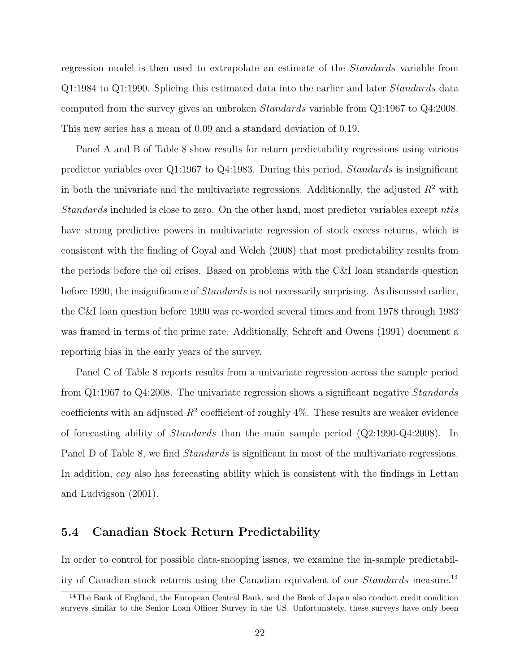regression model is then used to extrapolate an estimate of the Standards variable from Q1:1984 to Q1:1990. Splicing this estimated data into the earlier and later Standards data computed from the survey gives an unbroken Standards variable from Q1:1967 to Q4:2008. This new series has a mean of 0.09 and a standard deviation of 0.19.

Panel A and B of Table 8 show results for return predictability regressions using various predictor variables over Q1:1967 to Q4:1983. During this period, Standards is insignificant in both the univariate and the multivariate regressions. Additionally, the adjusted  $R^2$  with Standards included is close to zero. On the other hand, most predictor variables except ntis have strong predictive powers in multivariate regression of stock excess returns, which is consistent with the finding of Goyal and Welch (2008) that most predictability results from the periods before the oil crises. Based on problems with the C&I loan standards question before 1990, the insignificance of Standards is not necessarily surprising. As discussed earlier, the C&I loan question before 1990 was re-worded several times and from 1978 through 1983 was framed in terms of the prime rate. Additionally, Schreft and Owens (1991) document a reporting bias in the early years of the survey.

Panel C of Table 8 reports results from a univariate regression across the sample period from Q1:1967 to Q4:2008. The univariate regression shows a significant negative Standards coefficients with an adjusted  $R^2$  coefficient of roughly 4%. These results are weaker evidence of forecasting ability of Standards than the main sample period (Q2:1990-Q4:2008). In Panel D of Table 8, we find *Standards* is significant in most of the multivariate regressions. In addition, cay also has forecasting ability which is consistent with the findings in Lettau and Ludvigson (2001).

### 5.4 Canadian Stock Return Predictability

In order to control for possible data-snooping issues, we examine the in-sample predictability of Canadian stock returns using the Canadian equivalent of our Standards measure.<sup>14</sup>

<sup>&</sup>lt;sup>14</sup>The Bank of England, the European Central Bank, and the Bank of Japan also conduct credit condition surveys similar to the Senior Loan Officer Survey in the US. Unfortunately, these surveys have only been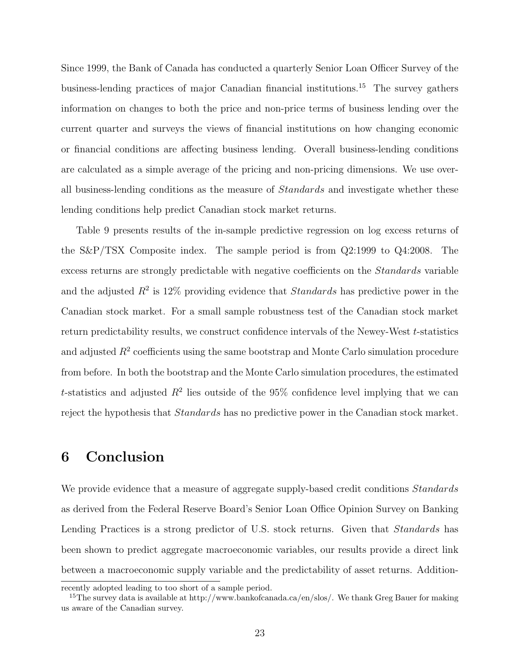Since 1999, the Bank of Canada has conducted a quarterly Senior Loan Officer Survey of the business-lending practices of major Canadian financial institutions.<sup>15</sup> The survey gathers information on changes to both the price and non-price terms of business lending over the current quarter and surveys the views of financial institutions on how changing economic or financial conditions are affecting business lending. Overall business-lending conditions are calculated as a simple average of the pricing and non-pricing dimensions. We use overall business-lending conditions as the measure of Standards and investigate whether these lending conditions help predict Canadian stock market returns.

Table 9 presents results of the in-sample predictive regression on log excess returns of the S&P/TSX Composite index. The sample period is from Q2:1999 to Q4:2008. The excess returns are strongly predictable with negative coefficients on the Standards variable and the adjusted  $R^2$  is 12% providing evidence that *Standards* has predictive power in the Canadian stock market. For a small sample robustness test of the Canadian stock market return predictability results, we construct confidence intervals of the Newey-West t-statistics and adjusted  $R<sup>2</sup>$  coefficients using the same bootstrap and Monte Carlo simulation procedure from before. In both the bootstrap and the Monte Carlo simulation procedures, the estimated t-statistics and adjusted  $R^2$  lies outside of the 95% confidence level implying that we can reject the hypothesis that Standards has no predictive power in the Canadian stock market.

## 6 Conclusion

We provide evidence that a measure of aggregate supply-based credit conditions *Standards* as derived from the Federal Reserve Board's Senior Loan Office Opinion Survey on Banking Lending Practices is a strong predictor of U.S. stock returns. Given that *Standards* has been shown to predict aggregate macroeconomic variables, our results provide a direct link between a macroeconomic supply variable and the predictability of asset returns. Addition-

recently adopted leading to too short of a sample period.

<sup>&</sup>lt;sup>15</sup>The survey data is available at http://www.bankofcanada.ca/en/slos/. We thank Greg Bauer for making us aware of the Canadian survey.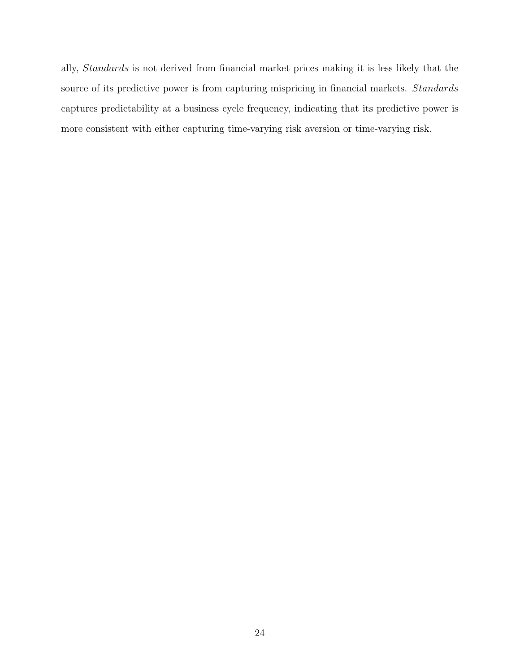ally, Standards is not derived from financial market prices making it is less likely that the source of its predictive power is from capturing mispricing in financial markets. Standards captures predictability at a business cycle frequency, indicating that its predictive power is more consistent with either capturing time-varying risk aversion or time-varying risk.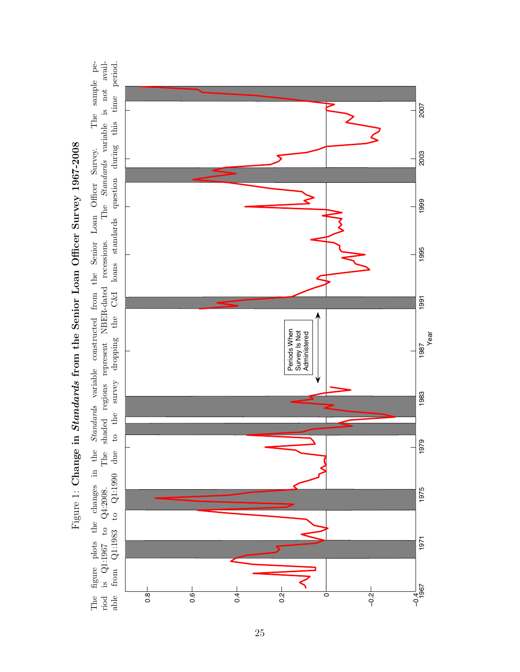

an Officer Survey. The sample pe-<br>The Standards variable is not availto the survey dropping the C&I loans standards question during this time period. The figure plots the changes in the Standards variable constructed from the Senior Loan Officer Survey. The sample period is Q1:1967 to Q4:2008. The shaded regions represent NBER-dated recessions. The Standards variable is not available from Q1:1983 to Q1:1990 due to the survey dropping the C&I loans standards question during this time period. figure plots the changes in the *Standards* variable constructed from the Senior Loan Officer Survey.<br>is  $Q1:1967$  to  $Q4:2008$ . The shaded regions represent NBER-dated recessions. The *Standards* va to  $Q1:1990$  due is  $Q1:1967$  to  $Q4:2008$ . from  $Q1:1983$ riod<br>able The

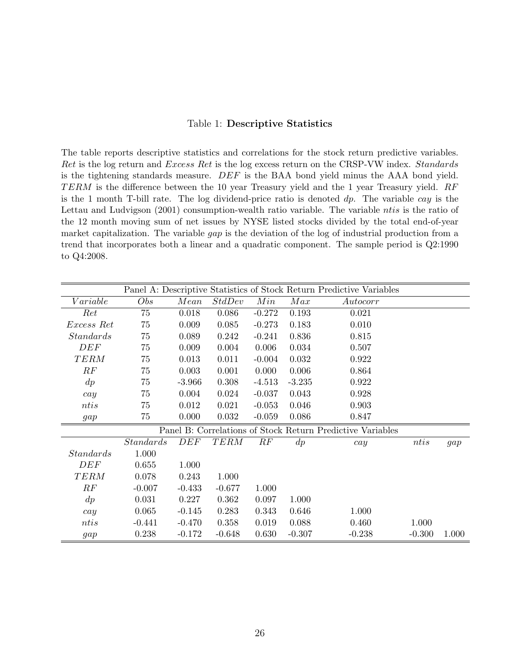#### Table 1: Descriptive Statistics

The table reports descriptive statistics and correlations for the stock return predictive variables. Ret is the log return and Excess Ret is the log excess return on the CRSP-VW index. Standards is the tightening standards measure. DEF is the BAA bond yield minus the AAA bond yield.  $TERM$  is the difference between the 10 year Treasury yield and the 1 year Treasury yield.  $RF$ is the 1 month T-bill rate. The log dividend-price ratio is denoted  $dp$ . The variable cay is the Lettau and Ludvigson (2001) consumption-wealth ratio variable. The variable *ntis* is the ratio of the 12 month moving sum of net issues by NYSE listed stocks divided by the total end-of-year market capitalization. The variable gap is the deviation of the log of industrial production from a trend that incorporates both a linear and a quadratic component. The sample period is Q2:1990 to Q4:2008.

|                  |           |          |          |          |          | Panel A: Descriptive Statistics of Stock Return Predictive Variables |          |       |
|------------------|-----------|----------|----------|----------|----------|----------------------------------------------------------------------|----------|-------|
| Variable         | Obs       | Mean     | StdDev   | Min      | Max      | Autocorr                                                             |          |       |
| Ret              | 75        | 0.018    | 0.086    | $-0.272$ | 0.193    | 0.021                                                                |          |       |
| Excess Ret       | 75        | 0.009    | 0.085    | $-0.273$ | 0.183    | 0.010                                                                |          |       |
| <i>Standards</i> | 75        | 0.089    | 0.242    | $-0.241$ | 0.836    | 0.815                                                                |          |       |
| DEF              | 75        | 0.009    | 0.004    | 0.006    | 0.034    | 0.507                                                                |          |       |
| <b>TERM</b>      | 75        | 0.013    | 0.011    | $-0.004$ | 0.032    | 0.922                                                                |          |       |
| RF               | 75        | 0.003    | 0.001    | 0.000    | 0.006    | 0.864                                                                |          |       |
| $\,dp$           | 75        | $-3.966$ | 0.308    | $-4.513$ | $-3.235$ | 0.922                                                                |          |       |
| cay              | 75        | 0.004    | 0.024    | $-0.037$ | 0.043    | 0.928                                                                |          |       |
| ntis             | 75        | 0.012    | 0.021    | $-0.053$ | 0.046    | 0.903                                                                |          |       |
| gap              | 75        | 0.000    | 0.032    | $-0.059$ | 0.086    | 0.847                                                                |          |       |
|                  |           |          |          |          |          | Panel B: Correlations of Stock Return Predictive Variables           |          |       |
|                  | Standards | DEF      | TERM     | RF       | dp       | cay                                                                  | n t i s  | gap   |
| <i>Standards</i> | 1.000     |          |          |          |          |                                                                      |          |       |
| DEF              | 0.655     | 1.000    |          |          |          |                                                                      |          |       |
| <b>TERM</b>      | 0.078     | 0.243    | 1.000    |          |          |                                                                      |          |       |
| RF               | $-0.007$  | $-0.433$ | $-0.677$ | 1.000    |          |                                                                      |          |       |
| $\,dp$           | 0.031     | 0.227    | 0.362    | 0.097    | 1.000    |                                                                      |          |       |
| cay              | 0.065     | $-0.145$ | 0.283    | 0.343    | 0.646    | 1.000                                                                |          |       |
| ntis             | $-0.441$  | $-0.470$ | 0.358    | 0.019    | 0.088    | 0.460                                                                | 1.000    |       |
| gap              | 0.238     | $-0.172$ | $-0.648$ | 0.630    | $-0.307$ | $-0.238$                                                             | $-0.300$ | 1.000 |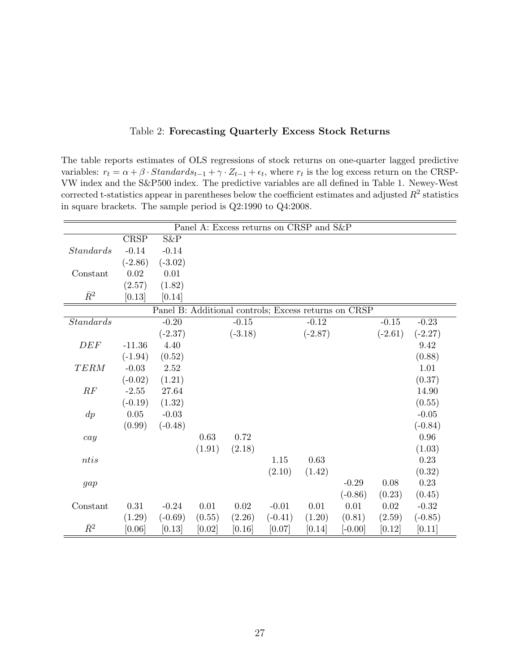| The table reports estimates of OLS regressions of stock returns on one-quarter lagged predictive                                                |
|-------------------------------------------------------------------------------------------------------------------------------------------------|
| variables: $r_t = \alpha + \beta \cdot Standards_{t-1} + \gamma \cdot Z_{t-1} + \epsilon_t$ , where $r_t$ is the log excess return on the CRSP- |
| VW index and the S&P500 index. The predictive variables are all defined in Table 1. Newey-West                                                  |
| corrected t-statistics appear in parentheses below the coefficient estimates and adjusted $R^2$ statistics                                      |
| $\cdot$ 1 1 $\pm$ 1 1 $\pm$ 1 $\cdot$ 1 $\pm$ 00,1000 0.10000                                                                                   |

| The table reports estimates of OLS regressions of stock returns on one-quarter lagged predictive                                                |
|-------------------------------------------------------------------------------------------------------------------------------------------------|
| variables: $r_t = \alpha + \beta \cdot Standards_{t-1} + \gamma \cdot Z_{t-1} + \epsilon_t$ , where $r_t$ is the log excess return on the CRSP- |
| VW index and the S&P500 index. The predictive variables are all defined in Table 1. Newey-West                                                  |
| corrected t-statistics appear in parentheses below the coefficient estimates and adjusted $R^2$ statistics                                      |
| in square brackets. The sample period is $Q2:1990$ to $Q4:2008$ .                                                                               |

Table 2: Forecasting Quarterly Excess Stock Returns

|             |             |                                                      |        |           |           | Panel A: Excess returns on CRSP and S&P |           |           |           |
|-------------|-------------|------------------------------------------------------|--------|-----------|-----------|-----------------------------------------|-----------|-----------|-----------|
|             | <b>CRSP</b> | $S\&P$                                               |        |           |           |                                         |           |           |           |
| Standards   | $-0.14$     | $-0.14$                                              |        |           |           |                                         |           |           |           |
|             | $(-2.86)$   | $(-3.02)$                                            |        |           |           |                                         |           |           |           |
| Constant    | 0.02        | 0.01                                                 |        |           |           |                                         |           |           |           |
|             | (2.57)      | (1.82)                                               |        |           |           |                                         |           |           |           |
| $\bar{R}^2$ | [0.13]      | [0.14]                                               |        |           |           |                                         |           |           |           |
|             |             | Panel B: Additional controls; Excess returns on CRSP |        |           |           |                                         |           |           |           |
| Standards   |             | $-0.20$                                              |        | $-0.15$   |           | $-0.12$                                 |           | $-0.15$   | $-0.23$   |
|             |             | $(-2.37)$                                            |        | $(-3.18)$ |           | $(-2.87)$                               |           | $(-2.61)$ | $(-2.27)$ |
| DEF         | $-11.36$    | 4.40                                                 |        |           |           |                                         |           |           | 9.42      |
|             | $(-1.94)$   | (0.52)                                               |        |           |           |                                         |           |           | (0.88)    |
| <b>TERM</b> | $-0.03$     | 2.52                                                 |        |           |           |                                         |           |           | 1.01      |
|             | $(-0.02)$   | (1.21)                                               |        |           |           |                                         |           |           | (0.37)    |
| RF          | $-2.55$     | 27.64                                                |        |           |           |                                         |           |           | 14.90     |
|             | $(-0.19)$   | (1.32)                                               |        |           |           |                                         |           |           | (0.55)    |
| $\,dp$      | $0.05\,$    | $-0.03$                                              |        |           |           |                                         |           |           | $-0.05$   |
|             | (0.99)      | $(-0.48)$                                            |        |           |           |                                         |           |           | $(-0.84)$ |
| cay         |             |                                                      | 0.63   | 0.72      |           |                                         |           |           | $0.96\,$  |
|             |             |                                                      | (1.91) | (2.18)    |           |                                         |           |           | (1.03)    |
| ntis        |             |                                                      |        |           | 1.15      | 0.63                                    |           |           | 0.23      |
|             |             |                                                      |        |           | (2.10)    | (1.42)                                  |           |           | (0.32)    |
| gap         |             |                                                      |        |           |           |                                         | $-0.29$   | $0.08\,$  | 0.23      |
|             |             |                                                      |        |           |           |                                         | $(-0.86)$ | (0.23)    | (0.45)    |
| Constant    | 0.31        | $-0.24$                                              | 0.01   | 0.02      | $-0.01$   | $0.01\,$                                | $0.01\,$  | $0.02\,$  | $-0.32$   |
|             | (1.29)      | $(-0.69)$                                            | (0.55) | (2.26)    | $(-0.41)$ | (1.20)                                  | (0.81)    | (2.59)    | $(-0.85)$ |
| $\bar{R}^2$ | [0.06]      | [0.13]                                               | [0.02] | [0.16]    | [0.07]    | [0.14]                                  | $[-0.00]$ | [0.12]    | [0.11]    |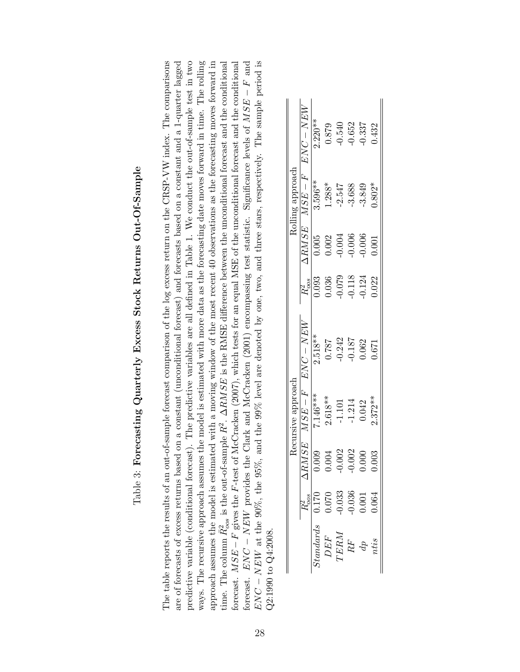| í<br>ׇ֚֘֡<br>ļ<br>(                                                                  |
|--------------------------------------------------------------------------------------|
| ֖֖֖֖֖֖ׅ֖ׅ֖֖֧ׅ֖ׅ֧ׅ֖֖֖֧ׅ֧ׅ֧ׅ֖֧֚֚֚֚֚֚֚֚֚֚֚֚֚֚֚֚֚֚֚֚֚֚֚֚֚֚֚֚֚֚֚֚֚֚֚֚֡֝֝֬֝֬֝֬֝֬<br>;<br>I |
| j                                                                                    |
| $\vdots$<br>i<br>$\mathbf{I}$<br>I                                                   |
| Ï<br>l<br>֚֚֚֬<br>i<br>֚֕֡<br>Ó                                                      |
| I                                                                                    |
|                                                                                      |
| I<br>l                                                                               |

The table reports the results of an out-of-sample forecast comparison of the log excess return on the CRSP-VW index. The comparisons  $\text{ENC} - \text{NEW}$  at the 90%, the 95%, and the 99% level are denoted by one, two, and three stars, respectively. The sample period is are of forecasts of excess returns based on a constant (unconditional forecast) and forecasts based on a constant and a 1-quarter lagged predictive variable (conditional forecast). The predictive variables are all defined in Table 1. We conduct the out-of-sample test in two ways. The recursive approach assumes the model is estimated with more data as the forecasting date moves forward in time. The rolling approach assumes the model is estimated with a moving window of the most recent 40 observations as the forecasting moves forward in time. The column  $\bar{R}_{oos}^2$  is the out-of-sample  $R^2$ .  $\Delta RMSE$  is the RMSE difference between the unconditional forecast and the conditional forecast.  $ENC - NEW$  provides the Clark and McCracken (2001) encompassing test statistic. Significance levels of  $MSE - F$  and ENC − NEW at the 90%, the 95%, and the 99% level are denoted by one, two, and three stars, respectively. The sample period is The table reports the results of an out-of-sample forecast comparison of the log excess return on the CRSP-VW index. The comparisons are of forecasts of excess returns based on a constant (unconditional forecast) and forecasts based on a constant and a 1-quarter lagged predictive variable (conditional forecast). The predictive variables are all defined in Table 1. We conduct the out-of-sample test in two ways. The recursive approach assumes the model is estimated with more data as the forecasting date moves forward in time. The rolling approach assumes the model is estimated with a moving window of the most recent 40 observations as the forecasting moves forward in time. The column  $\bar{R}_{cos}^2$  is the out-of-sample  $R^2$ .  $\Delta RMSE$  is the RMSE difference between the unconditional forecast and the conditional intervalsed and the conditional server of the state of the state of the state o forecast.  $MSE-F$  gives the F-test of McCracken (2007), which tests for an equal MSE of the unconditional forecast and the conditional forecast. MSE −F gives the F-test of McCracken (2007), which tests for an equal MSE of the unconditional forecast and the conditional forecast.  $ENC - NEW$  provides the Clark and McCracken (2001) encompassing test statistic. Significance levels of MSE − F and  $F_{NNC}$  and  $F_{NNC}$  are  $F_{NNC}$  and  $F_{NNC}$  are  $F_{NNC}$  and  $F_{NNC}$  are  $F_{NNC}$  and  $F_{NNC}$  and  $F_{$  $22:1990$  to  $Q4:2008$ .  $Q2:1990$  to  $Q4:2008$ .

|                                                                                                                                           |          | Recursive approach |           |          |              | Rolling approach |                   |
|-------------------------------------------------------------------------------------------------------------------------------------------|----------|--------------------|-----------|----------|--------------|------------------|-------------------|
|                                                                                                                                           | RMSE     | $MSE-F$            | $ENC-NEW$ |          | <b>ARMSE</b> |                  | $MSE-F$ $ENC-NEW$ |
|                                                                                                                                           | 0.009    | 7.146***           | $2.518**$ | 0.093    | 0.005        | 3.596**          | $2.220**$         |
|                                                                                                                                           | 0.004    | $2.618**$          | 0.787     | 0.036    | 1.002        | 1.288*           | 0.879             |
|                                                                                                                                           | 0.002    | $-1.101$           | $-0.242$  | 620.0    | 0.004        | $-2.547$         | $-0.540$          |
|                                                                                                                                           | $-0.002$ | $-1.214$           | $-0.187$  | $-0.118$ | $-0.006$     | $-3.688$         | $-0.652$          |
|                                                                                                                                           | 0.000    | 0.042              | 0.062     | $-0.124$ | 0.006        | -3.849           | 0.337             |
| $\begin{array}{rcl} Standards & 0.170 \ DEF & 0.070 \ TERM & -0.033 \ TERM & -0.036 \ RP & 0.001 \ dp & 0.001 \ nets & 0.001 \end{array}$ | 0.003    | $2.372**$          | 0.671     | 0.022    | 0.001        | $0.802*$         | 0.432             |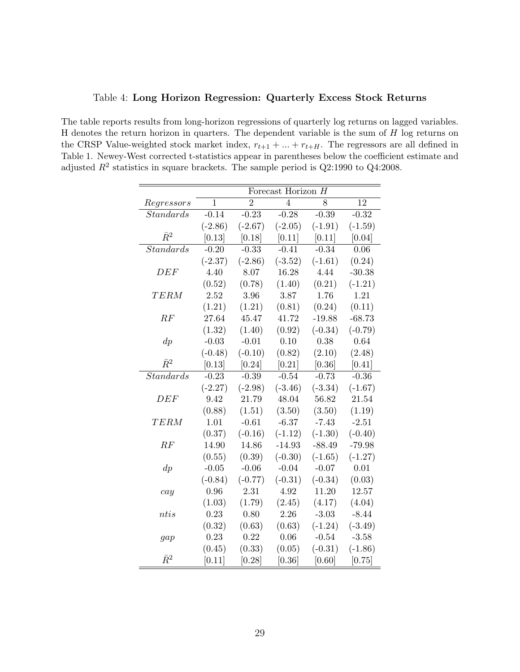|                  |              | Forecast Horizon H |                |           |           |
|------------------|--------------|--------------------|----------------|-----------|-----------|
| Regressors       | $\mathbf{1}$ | $\overline{2}$     | $\overline{4}$ | 8         | 12        |
| Standards        | $-0.14$      | $-0.23$            | $-0.28$        | $-0.39$   | $-0.32$   |
|                  | $(-2.86)$    | $(-2.67)$          | $(-2.05)$      | $(-1.91)$ | $(-1.59)$ |
| $\bar{R}^2$      | [0.13]       | [0.18]             | [0.11]         | [0.11]    | [0.04]    |
| Standards        | $-0.20$      | $-0.33$            | $-0.41$        | $-0.34$   | 0.06      |
|                  | $(-2.37)$    | $(-2.86)$          | $(-3.52)$      | $(-1.61)$ | (0.24)    |
| DEF              | 4.40         | 8.07               | 16.28          | 4.44      | $-30.38$  |
|                  | (0.52)       | (0.78)             | (1.40)         | (0.21)    | $(-1.21)$ |
| <b>TERM</b>      | 2.52         | 3.96               | 3.87           | 1.76      | 1.21      |
|                  | (1.21)       | (1.21)             | (0.81)         | (0.24)    | (0.11)    |
| RF               | 27.64        | 45.47              | 41.72          | $-19.88$  | $-68.73$  |
|                  | (1.32)       | (1.40)             | (0.92)         | $(-0.34)$ | $(-0.79)$ |
| $\,dp$           | $-0.03$      | $-0.01$            | 0.10           | 0.38      | 0.64      |
|                  | $(-0.48)$    | $(-0.10)$          | (0.82)         | (2.10)    | (2.48)    |
| $\bar{R}^2$      | [0.13]       | [0.24]             | [0.21]         | [0.36]    | [0.41]    |
| <b>Standards</b> | $-0.23$      | $-0.39$            | $-0.54$        | $-0.73$   | $-0.36$   |
|                  | $(-2.27)$    | $(-2.98)$          | $(-3.46)$      | $(-3.34)$ | $(-1.67)$ |
| DEF              | 9.42         | 21.79              | 48.04          | 56.82     | 21.54     |
|                  | (0.88)       | (1.51)             | (3.50)         | (3.50)    | (1.19)    |
| TERM             | 1.01         | $-0.61$            | $-6.37$        | $-7.43$   | $-2.51$   |
|                  | (0.37)       | $(-0.16)$          | $(-1.12)$      | $(-1.30)$ | $(-0.40)$ |
| RF               | 14.90        | 14.86              | $-14.93$       | $-88.49$  | $-79.98$  |
|                  | (0.55)       | (0.39)             | $(-0.30)$      | $(-1.65)$ | $(-1.27)$ |
| $\,dp$           | $-0.05$      | $-0.06$            | $-0.04$        | $-0.07$   | 0.01      |
|                  | $(-0.84)$    | $(-0.77)$          | $(-0.31)$      | $(-0.34)$ | (0.03)    |
| cay              | 0.96         | 2.31               | 4.92           | 11.20     | 12.57     |
|                  | (1.03)       | (1.79)             | (2.45)         | (4.17)    | (4.04)    |
| ntis             | 0.23         | 0.80               | 2.26           | $-3.03$   | $-8.44$   |
|                  | (0.32)       | (0.63)             | (0.63)         | $(-1.24)$ | $(-3.49)$ |
| gap              | 0.23         | 0.22               | 0.06           | $-0.54$   | $-3.58$   |
|                  | (0.45)       | (0.33)             | (0.05)         | $(-0.31)$ | $(-1.86)$ |
| $\bar{R}^2$      | [0.11]       | [0.28]             | [0.36]         | [0.60]    | [0.75]    |

Table 4: Long Horizon Regression: Quarterly Excess Stock Returns

The table reports results from long-horizon regressions of quarterly log returns on lagged variables. H denotes the return horizon in quarters. The dependent variable is the sum of  $H$  log returns on the CRSP Value-weighted stock market index,  $r_{t+1} + ... + r_{t+H}$ . The regressors are all defined in Table 1. Newey-West corrected t-statistics appear in parentheses below the coefficient estimate and

adjusted  $R^2$  statistics in square brackets. The sample period is  $Q2:1990$  to  $Q4:2008$ .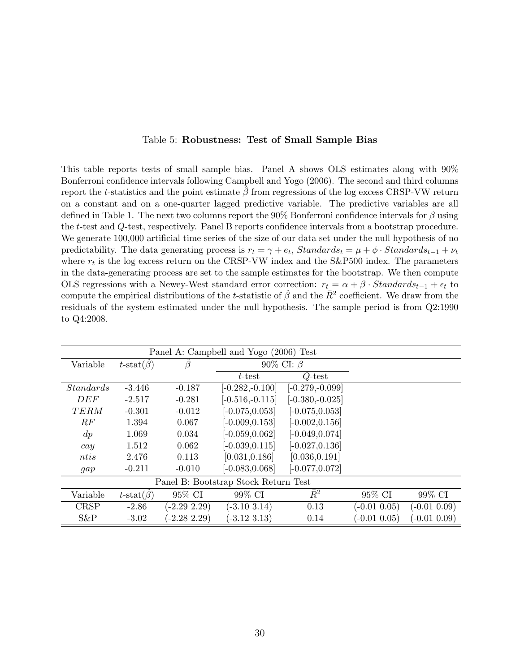#### Table 5: Robustness: Test of Small Sample Bias

This table reports tests of small sample bias. Panel A shows OLS estimates along with 90% Bonferroni confidence intervals following Campbell and Yogo (2006). The second and third columns report the t-statistics and the point estimate  $\beta$  from regressions of the log excess CRSP-VW return on a constant and on a one-quarter lagged predictive variable. The predictive variables are all defined in Table 1. The next two columns report the 90% Bonferroni confidence intervals for  $\beta$  using the t-test and Q-test, respectively. Panel B reports confidence intervals from a bootstrap procedure. We generate 100,000 artificial time series of the size of our data set under the null hypothesis of no predictability. The data generating process is  $r_t = \gamma + e_t$ ,  $Standards_t = \mu + \phi \cdot Standards_{t-1} + \nu_t$ where  $r_t$  is the log excess return on the CRSP-VW index and the S&P500 index. The parameters in the data-generating process are set to the sample estimates for the bootstrap. We then compute OLS regressions with a Newey-West standard error correction:  $r_t = \alpha + \beta \cdot Standards_{t-1} + \epsilon_t$  to compute the empirical distributions of the t-statistic of  $\hat{\beta}$  and the  $\bar{R}^2$  coefficient. We draw from the residuals of the system estimated under the null hypothesis. The sample period is from Q2:1990 to Q4:2008.

|                                      | Panel A: Campbell and Yogo (2006) Test |                 |                    |                    |                 |                 |  |  |  |  |
|--------------------------------------|----------------------------------------|-----------------|--------------------|--------------------|-----------------|-----------------|--|--|--|--|
| Variable                             | $t\text{-stat}(\beta)$                 |                 | 90% CI: $\beta$    |                    |                 |                 |  |  |  |  |
|                                      |                                        |                 | $t$ -test          | $Q$ -test          |                 |                 |  |  |  |  |
| <i>Standards</i>                     | $-3.446$                               | $-0.187$        | $[-0.282, -0.100]$ | $[-0.279,-0.099]$  |                 |                 |  |  |  |  |
| DEF                                  | $-2.517$                               | $-0.281$        | $[-0.516,-0.115]$  | $[-0.380, -0.025]$ |                 |                 |  |  |  |  |
| <b>TERM</b>                          | $-0.301$                               | $-0.012$        | $[-0.075, 0.053]$  | $[-0.075, 0.053]$  |                 |                 |  |  |  |  |
| RF                                   | 1.394                                  | 0.067           | $[-0.009, 0.153]$  | $[-0.002, 0.156]$  |                 |                 |  |  |  |  |
| $\,dp$                               | 1.069                                  | 0.034           | $[-0.059, 0.062]$  | $[-0.049, 0.074]$  |                 |                 |  |  |  |  |
| cay                                  | 1.512                                  | 0.062           | $[-0.039, 0.115]$  | $[-0.027, 0.136]$  |                 |                 |  |  |  |  |
| ntis                                 | 2.476                                  | 0.113           | [0.031, 0.186]     | [0.036, 0.191]     |                 |                 |  |  |  |  |
| gap                                  | $-0.211$                               | $-0.010$        | $[-0.083, 0.068]$  | $[-0.077, 0.072]$  |                 |                 |  |  |  |  |
| Panel B: Bootstrap Stock Return Test |                                        |                 |                    |                    |                 |                 |  |  |  |  |
| Variable                             | $t\text{-stat}(\hat{\beta})$           | 95% CI          | 99% CI             | $\bar{R}^2$        | 95% CI          | 99% CI          |  |  |  |  |
| <b>CRSP</b>                          | $-2.86$                                | $(-2.29\;2.29)$ | $(-3.10 \; 3.14)$  | 0.13               | $(-0.01\;0.05)$ | $(-0.01\ 0.09)$ |  |  |  |  |
| S&P                                  | $-3.02$                                | $(-2.282.29)$   | $(-3.12, 3.13)$    | 0.14               | $(-0.01\;0.05)$ | $(-0.01\ 0.09)$ |  |  |  |  |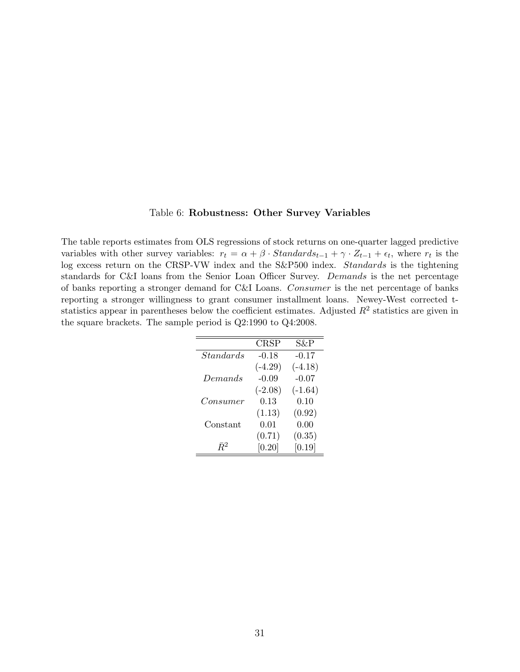#### Table 6: Robustness: Other Survey Variables

The table reports estimates from OLS regressions of stock returns on one-quarter lagged predictive variables with other survey variables:  $r_t = \alpha + \beta \cdot Standards_{t-1} + \gamma \cdot Z_{t-1} + \epsilon_t$ , where  $r_t$  is the log excess return on the CRSP-VW index and the S&P500 index. Standards is the tightening standards for C&I loans from the Senior Loan Officer Survey. Demands is the net percentage of banks reporting a stronger demand for C&I Loans. Consumer is the net percentage of banks reporting a stronger willingness to grant consumer installment loans. Newey-West corrected tstatistics appear in parentheses below the coefficient estimates. Adjusted  $R^2$  statistics are given in the square brackets. The sample period is Q2:1990 to Q4:2008.

|                  | CRSP      | S&P       |
|------------------|-----------|-----------|
| <i>Standards</i> | $-0.18$   | $-0.17$   |
|                  | $(-4.29)$ | $(-4.18)$ |
| Demands          | $-0.09$   | $-0.07$   |
|                  | $(-2.08)$ | $(-1.64)$ |
| Consumer         | 0.13      | 0.10      |
|                  | (1.13)    | (0.92)    |
| Constant         | 0.01      | 0.00      |
|                  | (0.71)    | (0.35)    |
| $R^2$            | [0.20]    | [0.19]    |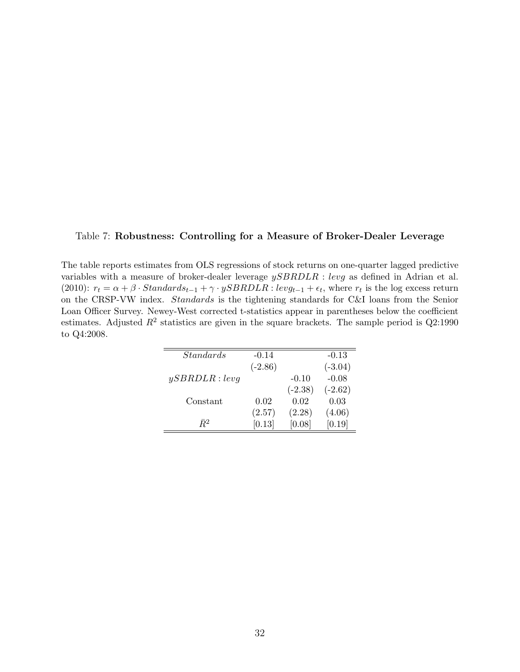#### Table 7: Robustness: Controlling for a Measure of Broker-Dealer Leverage

The table reports estimates from OLS regressions of stock returns on one-quarter lagged predictive variables with a measure of broker-dealer leverage  $ySBRDLR$ : levg as defined in Adrian et al. (2010):  $r_t = \alpha + \beta \cdot Standards_{t-1} + \gamma \cdot ySBRDLR : levg_{t-1} + \epsilon_t$ , where  $r_t$  is the log excess return on the CRSP-VW index. Standards is the tightening standards for C&I loans from the Senior Loan Officer Survey. Newey-West corrected t-statistics appear in parentheses below the coefficient estimates. Adjusted  $R^2$  statistics are given in the square brackets. The sample period is  $Q2:1990$ to Q4:2008.

| <i>Standards</i> | $-0.14$   |           | $-0.13$   |
|------------------|-----------|-----------|-----------|
|                  | $(-2.86)$ |           | $(-3.04)$ |
| ySBRDLR:levg     |           | $-0.10$   | $-0.08$   |
|                  |           | $(-2.38)$ | $(-2.62)$ |
| Constant         | 0.02      | 0.02      | 0.03      |
|                  | (2.57)    | (2.28)    | (4.06)    |
| $R^2$            | [0.13]    | [0.08]    | [0.19]    |
|                  |           |           |           |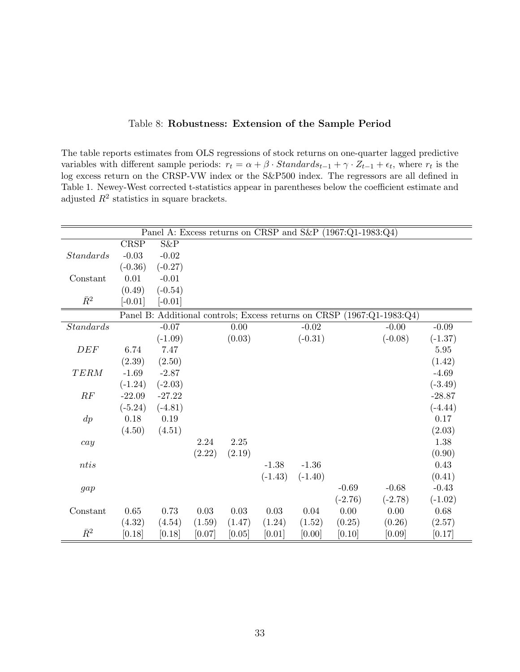|  |  | Table 8: Robustness: Extension of the Sample Period |  |  |  |
|--|--|-----------------------------------------------------|--|--|--|
|--|--|-----------------------------------------------------|--|--|--|

The table reports estimates from OLS regressions of stock returns on one-quarter lagged predictive variables with different sample periods:  $r_t = \alpha + \beta \cdot Standards_{t-1} + \gamma \cdot Z_{t-1} + \epsilon_t$ , where  $r_t$  is the log excess return on the CRSP-VW index or the S&P500 index. The regressors are all defined in Table 1. Newey-West corrected t-statistics appear in parentheses below the coefficient estimate and adjusted  $R^2$  statistics in square brackets.

|                  |           |           |          |          |           |           | Panel A: Excess returns on CRSP and S&P (1967:Q1-1983:Q4) |                                                                        |           |
|------------------|-----------|-----------|----------|----------|-----------|-----------|-----------------------------------------------------------|------------------------------------------------------------------------|-----------|
|                  | CRSP      | S&P       |          |          |           |           |                                                           |                                                                        |           |
| <i>Standards</i> | $-0.03$   | $-0.02$   |          |          |           |           |                                                           |                                                                        |           |
|                  | $(-0.36)$ | $(-0.27)$ |          |          |           |           |                                                           |                                                                        |           |
| Constant         | 0.01      | $-0.01$   |          |          |           |           |                                                           |                                                                        |           |
|                  | (0.49)    | $(-0.54)$ |          |          |           |           |                                                           |                                                                        |           |
| $\bar{R}^2$      | $[-0.01]$ | $[-0.01]$ |          |          |           |           |                                                           |                                                                        |           |
|                  |           |           |          |          |           |           |                                                           | Panel B: Additional controls; Excess returns on CRSP (1967:Q1-1983:Q4) |           |
| <i>Standards</i> |           | $-0.07$   |          | $0.00\,$ |           | $-0.02$   |                                                           | $-0.00$                                                                | $-0.09$   |
|                  |           | $(-1.09)$ |          | (0.03)   |           | $(-0.31)$ |                                                           | $(-0.08)$                                                              | $(-1.37)$ |
| DEF              | 6.74      | 7.47      |          |          |           |           |                                                           |                                                                        | 5.95      |
|                  | (2.39)    | (2.50)    |          |          |           |           |                                                           |                                                                        | (1.42)    |
| TERM             | $-1.69$   | $-2.87$   |          |          |           |           |                                                           |                                                                        | $-4.69$   |
|                  | $(-1.24)$ | $(-2.03)$ |          |          |           |           |                                                           |                                                                        | $(-3.49)$ |
| RF               | $-22.09$  | $-27.22$  |          |          |           |           |                                                           |                                                                        | $-28.87$  |
|                  | $(-5.24)$ | $(-4.81)$ |          |          |           |           |                                                           |                                                                        | $(-4.44)$ |
| $\,dp$           | 0.18      | 0.19      |          |          |           |           |                                                           |                                                                        | 0.17      |
|                  | (4.50)    | (4.51)    |          |          |           |           |                                                           |                                                                        | (2.03)    |
| cay              |           |           | 2.24     | $2.25\,$ |           |           |                                                           |                                                                        | 1.38      |
|                  |           |           | (2.22)   | (2.19)   |           |           |                                                           |                                                                        | (0.90)    |
| ntis             |           |           |          |          | $-1.38$   | $-1.36$   |                                                           |                                                                        | 0.43      |
|                  |           |           |          |          | $(-1.43)$ | $(-1.40)$ |                                                           |                                                                        | (0.41)    |
| gap              |           |           |          |          |           |           | $-0.69$                                                   | $-0.68$                                                                | $-0.43$   |
|                  |           |           |          |          |           |           | $(-2.76)$                                                 | $(-2.78)$                                                              | $(-1.02)$ |
| Constant         | 0.65      | 0.73      | $0.03\,$ | $0.03\,$ | $0.03\,$  | 0.04      | 0.00                                                      | 0.00                                                                   | 0.68      |
|                  | (4.32)    | (4.54)    | (1.59)   | (1.47)   | (1.24)    | (1.52)    | (0.25)                                                    | (0.26)                                                                 | (2.57)    |
| $\bar{R}^2$      | [0.18]    | [0.18]    | [0.07]   | [0.05]   | [0.01]    | [0.00]    | [0.10]                                                    | [0.09]                                                                 | [0.17]    |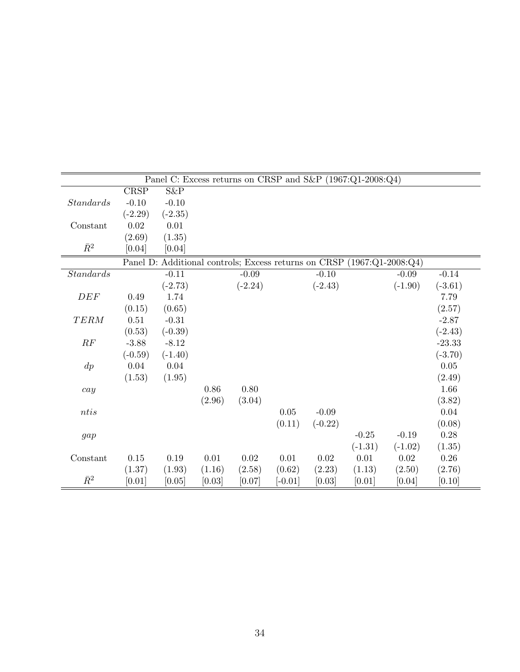| Panel C: Excess returns on CRSP and S&P (1967:Q1-2008:Q4)              |           |           |          |           |           |           |           |           |           |
|------------------------------------------------------------------------|-----------|-----------|----------|-----------|-----------|-----------|-----------|-----------|-----------|
|                                                                        | CRSP      | S&P       |          |           |           |           |           |           |           |
| <i>Standards</i>                                                       | $-0.10$   | $-0.10$   |          |           |           |           |           |           |           |
|                                                                        | $(-2.29)$ | $(-2.35)$ |          |           |           |           |           |           |           |
| Constant                                                               | 0.02      | 0.01      |          |           |           |           |           |           |           |
|                                                                        | (2.69)    | (1.35)    |          |           |           |           |           |           |           |
| $\bar{R}^2$                                                            | [0.04]    | [0.04]    |          |           |           |           |           |           |           |
| Panel D: Additional controls; Excess returns on CRSP (1967:Q1-2008:Q4) |           |           |          |           |           |           |           |           |           |
| Standards                                                              |           | $-0.11$   |          | $-0.09$   |           | $-0.10$   |           | $-0.09$   | $-0.14$   |
|                                                                        |           | $(-2.73)$ |          | $(-2.24)$ |           | $(-2.43)$ |           | $(-1.90)$ | $(-3.61)$ |
| DEF                                                                    | 0.49      | 1.74      |          |           |           |           |           |           | 7.79      |
|                                                                        | (0.15)    | (0.65)    |          |           |           |           |           |           | (2.57)    |
| <b>TERM</b>                                                            | 0.51      | $-0.31$   |          |           |           |           |           |           | $-2.87$   |
|                                                                        | (0.53)    | $(-0.39)$ |          |           |           |           |           |           | $(-2.43)$ |
| RF                                                                     | $-3.88$   | $-8.12$   |          |           |           |           |           |           | $-23.33$  |
|                                                                        | $(-0.59)$ | $(-1.40)$ |          |           |           |           |           |           | $(-3.70)$ |
| $\,dp$                                                                 | 0.04      | 0.04      |          |           |           |           |           |           | $0.05\,$  |
|                                                                        | (1.53)    | (1.95)    |          |           |           |           |           |           | (2.49)    |
| cay                                                                    |           |           | 0.86     | $0.80\,$  |           |           |           |           | 1.66      |
|                                                                        |           |           | (2.96)   | (3.04)    |           |           |           |           | (3.82)    |
| $ntis$                                                                 |           |           |          |           | 0.05      | $-0.09$   |           |           | 0.04      |
|                                                                        |           |           |          |           | (0.11)    | $(-0.22)$ |           |           | (0.08)    |
| gap                                                                    |           |           |          |           |           |           | $-0.25$   | $-0.19$   | $0.28\,$  |
|                                                                        |           |           |          |           |           |           | $(-1.31)$ | $(-1.02)$ | (1.35)    |
| Constant                                                               | 0.15      | $0.19\,$  | $0.01\,$ | 0.02      | $0.01\,$  | $0.02\,$  | $0.01\,$  | 0.02      | 0.26      |
|                                                                        | (1.37)    | (1.93)    | (1.16)   | (2.58)    | (0.62)    | (2.23)    | (1.13)    | (2.50)    | (2.76)    |
| $\bar{R}^2$                                                            | [0.01]    | [0.05]    | [0.03]   | [0.07]    | $[-0.01]$ | [0.03]    | [0.01]    | [0.04]    | [0.10]    |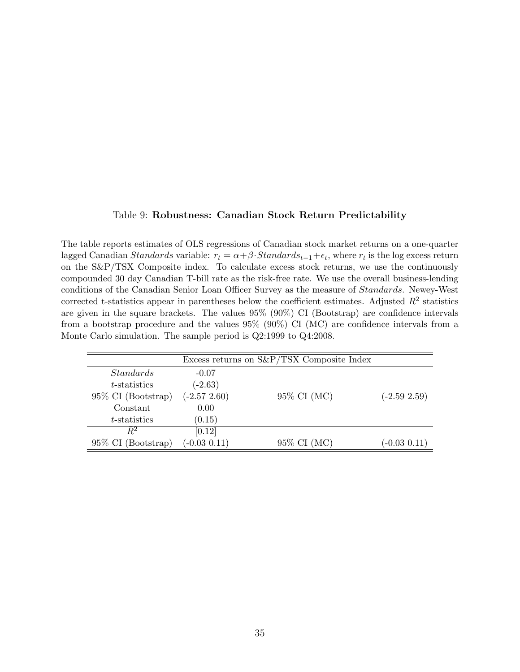#### Table 9: Robustness: Canadian Stock Return Predictability

The table reports estimates of OLS regressions of Canadian stock market returns on a one-quarter lagged Canadian Standards variable:  $r_t = \alpha + \beta \cdot Standards_{t-1} + \epsilon_t$ , where  $r_t$  is the log excess return on the S&P/TSX Composite index. To calculate excess stock returns, we use the continuously compounded 30 day Canadian T-bill rate as the risk-free rate. We use the overall business-lending conditions of the Canadian Senior Loan Officer Survey as the measure of Standards. Newey-West corrected t-statistics appear in parentheses below the coefficient estimates. Adjusted  $R^2$  statistics are given in the square brackets. The values 95% (90%) CI (Bootstrap) are confidence intervals from a bootstrap procedure and the values 95% (90%) CI (MC) are confidence intervals from a Monte Carlo simulation. The sample period is Q2:1999 to Q4:2008.

|                       | Excess returns on $S\&P/TSX$ Composite Index |             |                 |  |  |  |
|-----------------------|----------------------------------------------|-------------|-----------------|--|--|--|
| <i>Standards</i>      | $-0.07$                                      |             |                 |  |  |  |
| <i>t</i> -statistics  | $(-2.63)$                                    |             |                 |  |  |  |
| $95\%$ CI (Bootstrap) | $(-2.572.60)$                                | 95% CI (MC) | $(-2.59\;2.59)$ |  |  |  |
| Constant              | 0.00                                         |             |                 |  |  |  |
| t-statistics          | (0.15)                                       |             |                 |  |  |  |
| $R^2$                 | [0.12]                                       |             |                 |  |  |  |
| 95\% CI (Bootstrap)   | $(-0.03\; 0.11)$                             | 95% CI (MC) | $(-0.03\;0.11)$ |  |  |  |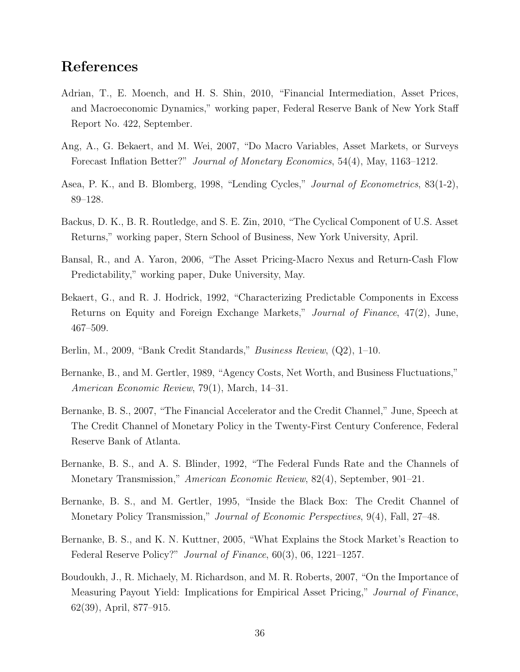## References

- Adrian, T., E. Moench, and H. S. Shin, 2010, "Financial Intermediation, Asset Prices, and Macroeconomic Dynamics," working paper, Federal Reserve Bank of New York Staff Report No. 422, September.
- Ang, A., G. Bekaert, and M. Wei, 2007, "Do Macro Variables, Asset Markets, or Surveys Forecast Inflation Better?" Journal of Monetary Economics, 54(4), May, 1163–1212.
- Asea, P. K., and B. Blomberg, 1998, "Lending Cycles," Journal of Econometrics, 83(1-2), 89–128.
- Backus, D. K., B. R. Routledge, and S. E. Zin, 2010, "The Cyclical Component of U.S. Asset Returns," working paper, Stern School of Business, New York University, April.
- Bansal, R., and A. Yaron, 2006, "The Asset Pricing-Macro Nexus and Return-Cash Flow Predictability," working paper, Duke University, May.
- Bekaert, G., and R. J. Hodrick, 1992, "Characterizing Predictable Components in Excess Returns on Equity and Foreign Exchange Markets," Journal of Finance, 47(2), June, 467–509.
- Berlin, M., 2009, "Bank Credit Standards," Business Review, (Q2), 1–10.
- Bernanke, B., and M. Gertler, 1989, "Agency Costs, Net Worth, and Business Fluctuations," American Economic Review, 79(1), March, 14–31.
- Bernanke, B. S., 2007, "The Financial Accelerator and the Credit Channel," June, Speech at The Credit Channel of Monetary Policy in the Twenty-First Century Conference, Federal Reserve Bank of Atlanta.
- Bernanke, B. S., and A. S. Blinder, 1992, "The Federal Funds Rate and the Channels of Monetary Transmission," American Economic Review, 82(4), September, 901–21.
- Bernanke, B. S., and M. Gertler, 1995, "Inside the Black Box: The Credit Channel of Monetary Policy Transmission," *Journal of Economic Perspectives*, 9(4), Fall, 27–48.
- Bernanke, B. S., and K. N. Kuttner, 2005, "What Explains the Stock Market's Reaction to Federal Reserve Policy?" Journal of Finance, 60(3), 06, 1221–1257.
- Boudoukh, J., R. Michaely, M. Richardson, and M. R. Roberts, 2007, "On the Importance of Measuring Payout Yield: Implications for Empirical Asset Pricing," Journal of Finance, 62(39), April, 877–915.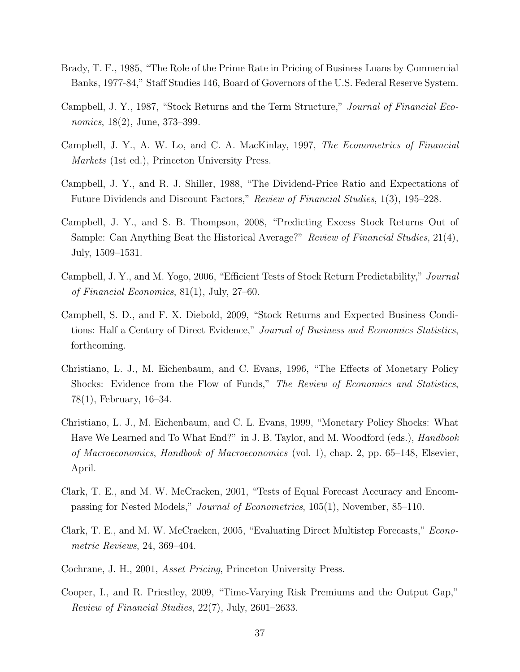- Brady, T. F., 1985, "The Role of the Prime Rate in Pricing of Business Loans by Commercial Banks, 1977-84," Staff Studies 146, Board of Governors of the U.S. Federal Reserve System.
- Campbell, J. Y., 1987, "Stock Returns and the Term Structure," Journal of Financial Economics, 18(2), June, 373–399.
- Campbell, J. Y., A. W. Lo, and C. A. MacKinlay, 1997, The Econometrics of Financial Markets (1st ed.), Princeton University Press.
- Campbell, J. Y., and R. J. Shiller, 1988, "The Dividend-Price Ratio and Expectations of Future Dividends and Discount Factors," Review of Financial Studies, 1(3), 195–228.
- Campbell, J. Y., and S. B. Thompson, 2008, "Predicting Excess Stock Returns Out of Sample: Can Anything Beat the Historical Average?" Review of Financial Studies, 21(4), July, 1509–1531.
- Campbell, J. Y., and M. Yogo, 2006, "Efficient Tests of Stock Return Predictability," Journal of Financial Economics, 81(1), July, 27–60.
- Campbell, S. D., and F. X. Diebold, 2009, "Stock Returns and Expected Business Conditions: Half a Century of Direct Evidence," Journal of Business and Economics Statistics, forthcoming.
- Christiano, L. J., M. Eichenbaum, and C. Evans, 1996, "The Effects of Monetary Policy Shocks: Evidence from the Flow of Funds," The Review of Economics and Statistics, 78(1), February, 16–34.
- Christiano, L. J., M. Eichenbaum, and C. L. Evans, 1999, "Monetary Policy Shocks: What Have We Learned and To What End?" in J. B. Taylor, and M. Woodford (eds.), *Handbook* of Macroeconomics, Handbook of Macroeconomics (vol. 1), chap. 2, pp. 65–148, Elsevier, April.
- Clark, T. E., and M. W. McCracken, 2001, "Tests of Equal Forecast Accuracy and Encompassing for Nested Models," Journal of Econometrics, 105(1), November, 85–110.
- Clark, T. E., and M. W. McCracken, 2005, "Evaluating Direct Multistep Forecasts," Econometric Reviews, 24, 369–404.
- Cochrane, J. H., 2001, Asset Pricing, Princeton University Press.
- Cooper, I., and R. Priestley, 2009, "Time-Varying Risk Premiums and the Output Gap," Review of Financial Studies, 22(7), July, 2601–2633.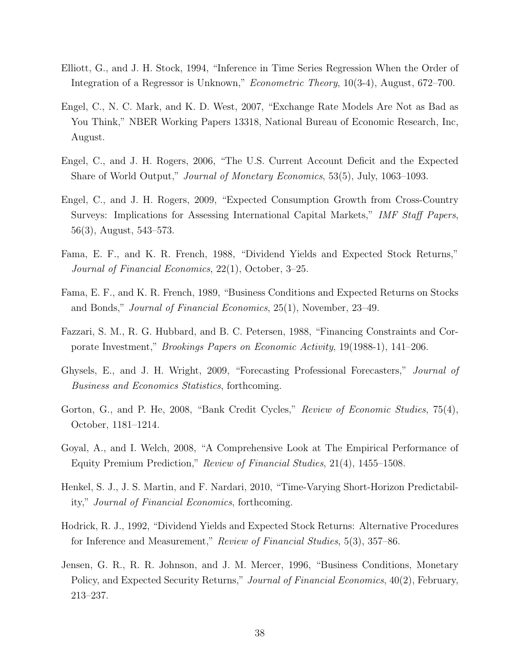- Elliott, G., and J. H. Stock, 1994, "Inference in Time Series Regression When the Order of Integration of a Regressor is Unknown," Econometric Theory, 10(3-4), August, 672–700.
- Engel, C., N. C. Mark, and K. D. West, 2007, "Exchange Rate Models Are Not as Bad as You Think," NBER Working Papers 13318, National Bureau of Economic Research, Inc, August.
- Engel, C., and J. H. Rogers, 2006, "The U.S. Current Account Deficit and the Expected Share of World Output," Journal of Monetary Economics, 53(5), July, 1063–1093.
- Engel, C., and J. H. Rogers, 2009, "Expected Consumption Growth from Cross-Country Surveys: Implications for Assessing International Capital Markets," IMF Staff Papers, 56(3), August, 543–573.
- Fama, E. F., and K. R. French, 1988, "Dividend Yields and Expected Stock Returns," Journal of Financial Economics, 22(1), October, 3–25.
- Fama, E. F., and K. R. French, 1989, "Business Conditions and Expected Returns on Stocks and Bonds," Journal of Financial Economics, 25(1), November, 23–49.
- Fazzari, S. M., R. G. Hubbard, and B. C. Petersen, 1988, "Financing Constraints and Corporate Investment," Brookings Papers on Economic Activity, 19(1988-1), 141–206.
- Ghysels, E., and J. H. Wright, 2009, "Forecasting Professional Forecasters," Journal of Business and Economics Statistics, forthcoming.
- Gorton, G., and P. He, 2008, "Bank Credit Cycles," Review of Economic Studies, 75(4), October, 1181–1214.
- Goyal, A., and I. Welch, 2008, "A Comprehensive Look at The Empirical Performance of Equity Premium Prediction," Review of Financial Studies, 21(4), 1455–1508.
- Henkel, S. J., J. S. Martin, and F. Nardari, 2010, "Time-Varying Short-Horizon Predictability," Journal of Financial Economics, forthcoming.
- Hodrick, R. J., 1992, "Dividend Yields and Expected Stock Returns: Alternative Procedures for Inference and Measurement," Review of Financial Studies, 5(3), 357–86.
- Jensen, G. R., R. R. Johnson, and J. M. Mercer, 1996, "Business Conditions, Monetary Policy, and Expected Security Returns," *Journal of Financial Economics*, 40(2), February, 213–237.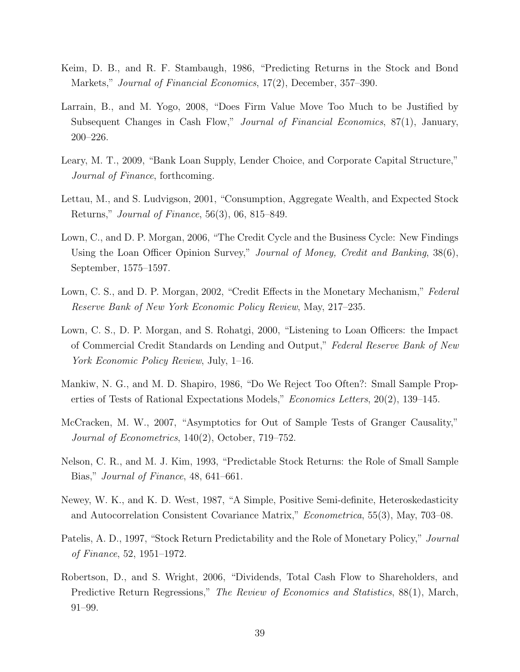- Keim, D. B., and R. F. Stambaugh, 1986, "Predicting Returns in the Stock and Bond Markets," Journal of Financial Economics, 17(2), December, 357–390.
- Larrain, B., and M. Yogo, 2008, "Does Firm Value Move Too Much to be Justified by Subsequent Changes in Cash Flow," Journal of Financial Economics, 87(1), January, 200–226.
- Leary, M. T., 2009, "Bank Loan Supply, Lender Choice, and Corporate Capital Structure," Journal of Finance, forthcoming.
- Lettau, M., and S. Ludvigson, 2001, "Consumption, Aggregate Wealth, and Expected Stock Returns," Journal of Finance, 56(3), 06, 815–849.
- Lown, C., and D. P. Morgan, 2006, "The Credit Cycle and the Business Cycle: New Findings Using the Loan Officer Opinion Survey," Journal of Money, Credit and Banking, 38(6), September, 1575–1597.
- Lown, C. S., and D. P. Morgan, 2002, "Credit Effects in the Monetary Mechanism," Federal Reserve Bank of New York Economic Policy Review, May, 217–235.
- Lown, C. S., D. P. Morgan, and S. Rohatgi, 2000, "Listening to Loan Officers: the Impact of Commercial Credit Standards on Lending and Output," Federal Reserve Bank of New York Economic Policy Review, July, 1–16.
- Mankiw, N. G., and M. D. Shapiro, 1986, "Do We Reject Too Often?: Small Sample Properties of Tests of Rational Expectations Models," Economics Letters, 20(2), 139–145.
- McCracken, M. W., 2007, "Asymptotics for Out of Sample Tests of Granger Causality," Journal of Econometrics, 140(2), October, 719–752.
- Nelson, C. R., and M. J. Kim, 1993, "Predictable Stock Returns: the Role of Small Sample Bias," Journal of Finance, 48, 641–661.
- Newey, W. K., and K. D. West, 1987, "A Simple, Positive Semi-definite, Heteroskedasticity and Autocorrelation Consistent Covariance Matrix," Econometrica, 55(3), May, 703–08.
- Patelis, A. D., 1997, "Stock Return Predictability and the Role of Monetary Policy," Journal of Finance, 52, 1951–1972.
- Robertson, D., and S. Wright, 2006, "Dividends, Total Cash Flow to Shareholders, and Predictive Return Regressions," The Review of Economics and Statistics, 88(1), March, 91–99.